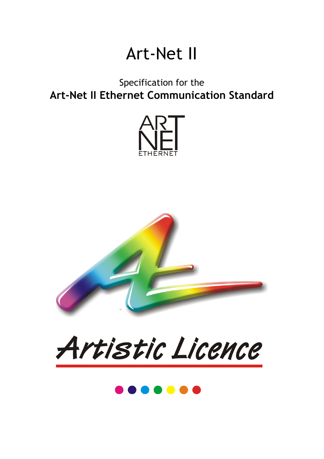# Art-Net II

### Specification for the **Art-Net II Ethernet Communication Standard**





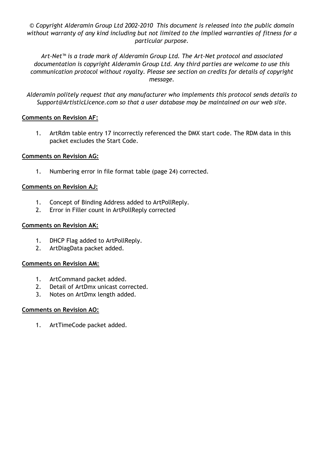*© Copyright Alderamin Group Ltd 2002-2010 This document is released into the public domain without warranty of any kind including but not limited to the implied warranties of fitness for a particular purpose.* 

*Art-Net™ is a trade mark of Alderamin Group Ltd. The Art-Net protocol and associated documentation is copyright Alderamin Group Ltd. Any third parties are welcome to use this communication protocol without royalty. Please see section on credits for details of copyright message.* 

*Alderamin politely request that any manufacturer who implements this protocol sends details to Support@ArtisticLicence.com so that a user database may be maintained on our web site.* 

#### **Comments on Revision AF:**

1. ArtRdm table entry 17 incorrectly referenced the DMX start code. The RDM data in this packet excludes the Start Code.

#### **Comments on Revision AG:**

1. Numbering error in file format table (page 24) corrected.

#### **Comments on Revision AJ:**

- 1. Concept of Binding Address added to ArtPollReply.
- 2. Error in Filler count in ArtPollReply corrected

#### **Comments on Revision AK:**

- 1. DHCP Flag added to ArtPollReply.
- 2. ArtDiagData packet added.

#### **Comments on Revision AM:**

- 1. ArtCommand packet added.
- 2. Detail of ArtDmx unicast corrected.
- 3. Notes on ArtDmx length added.

#### **Comments on Revision AO:**

1. ArtTimeCode packet added.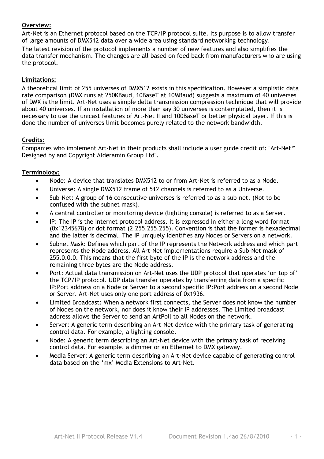#### **Overview:**

Art-Net is an Ethernet protocol based on the TCP/IP protocol suite. Its purpose is to allow transfer of large amounts of DMX512 data over a wide area using standard networking technology. The latest revision of the protocol implements a number of new features and also simplifies the data transfer mechanism. The changes are all based on feed back from manufacturers who are using the protocol.

#### **Limitations:**

A theoretical limit of 255 universes of DMX512 exists in this specification. However a simplistic data rate comparison (DMX runs at 250KBaud, 10BaseT at 10MBaud) suggests a maximum of 40 universes of DMX is the limit. Art-Net uses a simple delta transmission compression technique that will provide about 40 universes. If an installation of more than say 30 universes is contemplated, then it is necessary to use the unicast features of Art-Net II and 100BaseT or better physical layer. If this is done the number of universes limit becomes purely related to the network bandwidth.

#### **Credits:**

Companies who implement Art-Net in their products shall include a user guide credit of: "Art-Net™ Designed by and Copyright Alderamin Group Ltd".

#### **Terminology:**

- Node: A device that translates DMX512 to or from Art-Net is referred to as a Node.
- Universe: A single DMX512 frame of 512 channels is referred to as a Universe.
- Sub-Net: A group of 16 consecutive universes is referred to as a sub-net. (Not to be confused with the subnet mask).
- A central controller or monitoring device (lighting console) is referred to as a Server.
- IP: The IP is the Internet protocol address. It is expressed in either a long word format (0x12345678) or dot format (2.255.255.255). Convention is that the former is hexadecimal and the latter is decimal. The IP uniquely identifies any Nodes or Servers on a network.
- Subnet Mask: Defines which part of the IP represents the Network address and which part represents the Node address. All Art-Net implementations require a Sub-Net mask of 255.0.0.0. This means that the first byte of the IP is the network address and the remaining three bytes are the Node address.
- Port: Actual data transmission on Art-Net uses the UDP protocol that operates 'on top of' the TCP/IP protocol. UDP data transfer operates by transferring data from a specific IP:Port address on a Node or Server to a second specific IP:Port address on a second Node or Server. Art-Net uses only one port address of 0x1936.
- Limited Broadcast: When a network first connects, the Server does not know the number of Nodes on the network, nor does it know their IP addresses. The Limited broadcast address allows the Server to send an ArtPoll to all Nodes on the network.
- Server: A generic term describing an Art-Net device with the primary task of generating control data. For example, a lighting console.
- Node: A generic term describing an Art-Net device with the primary task of receiving control data. For example, a dimmer or an Ethernet to DMX gateway.
- Media Server: A generic term describing an Art-Net device capable of generating control data based on the 'mx' Media Extensions to Art-Net.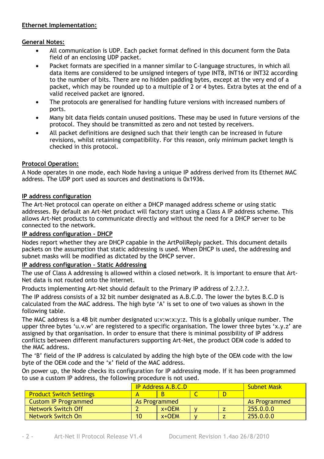#### **Ethernet Implementation:**

#### **General Notes:**

- All communication is UDP. Each packet format defined in this document form the Data field of an enclosing UDP packet.
- Packet formats are specified in a manner similar to C-language structures, in which all data items are considered to be unsigned integers of type INT8, INT16 or INT32 according to the number of bits. There are no hidden padding bytes, except at the very end of a packet, which may be rounded up to a multiple of 2 or 4 bytes. Extra bytes at the end of a valid received packet are ignored.
- The protocols are generalised for handling future versions with increased numbers of ports.
- Many bit data fields contain unused positions. These may be used in future versions of the protocol. They should be transmitted as zero and not tested by receivers.
- All packet definitions are designed such that their length can be increased in future revisions, whilst retaining compatibility. For this reason, only minimum packet length is checked in this protocol.

#### **Protocol Operation:**

A Node operates in one mode, each Node having a unique IP address derived from its Ethernet MAC address. The UDP port used as sources and destinations is 0x1936.

#### **IP address configuration**

The Art-Net protocol can operate on either a DHCP managed address scheme or using static addresses. By default an Art-Net product will factory start using a Class A IP address scheme. This allows Art-Net products to communicate directly and without the need for a DHCP server to be connected to the network.

#### **IP address configuration - DHCP**

Nodes report whether they are DHCP capable in the ArtPollReply packet. This document details packets on the assumption that static addressing is used. When DHCP is used, the addressing and subnet masks will be modified as dictated by the DHCP server.

#### **IP address configuration – Static Addressing**

The use of Class A addressing is allowed within a closed network. It is important to ensure that Art-Net data is not routed onto the Internet.

Products implementing Art-Net should default to the Primary IP address of 2.?.?.?.

The IP address consists of a 32 bit number designated as A.B.C.D. The lower the bytes B.C.D is calculated from the MAC address. The high byte 'A' is set to one of two values as shown in the following table.

The MAC address is a 48 bit number designated u:v:w:x:y:z. This is a globally unique number. The upper three bytes 'u.v.w' are registered to a specific organisation. The lower three bytes 'x.y.z' are assigned by that organisation. In order to ensure that there is minimal possibility of IP address conflicts between different manufacturers supporting Art-Net, the product OEM code is added to the MAC address.

The 'B' field of the IP address is calculated by adding the high byte of the OEM code with the low byte of the OEM code and the 'x' field of the MAC address.

On power up, the Node checks its configuration for IP addressing mode. If it has been programmed to use a custom IP address, the following procedure is not used.

|                                | <b>IP Address A.B.C.D</b> |         |  | <b>Subnet Mask</b> |           |
|--------------------------------|---------------------------|---------|--|--------------------|-----------|
| <b>Product Switch Settings</b> |                           |         |  |                    |           |
| <b>Custom IP Programmed</b>    | As Programmed             |         |  | As Programmed      |           |
| Network Switch Off             |                           | $x+OEM$ |  |                    | 255.0.0.0 |
| Network Switch On              | 10 <sup>°</sup>           | $x+OEM$ |  |                    | 255.0.0.0 |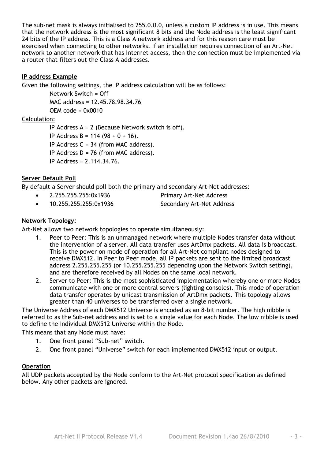The sub-net mask is always initialised to 255.0.0.0, unless a custom IP address is in use. This means that the network address is the most significant 8 bits and the Node address is the least significant 24 bits of the IP address. This is a Class A network address and for this reason care must be exercised when connecting to other networks. If an installation requires connection of an Art-Net network to another network that has Internet access, then the connection must be implemented via a router that filters out the Class A addresses.

#### **IP address Example**

Given the following settings, the IP address calculation will be as follows:

Network Switch = Off MAC address = 12.45.78.98.34.76  $OFM code =  $0x0010$$ 

#### Calculation:

IP Address A = 2 (Because Network switch is off). IP Address B = 114 (98 + 0 + 16). IP Address  $C = 34$  (from MAC address). IP Address  $D = 76$  (from MAC address). IP Address = 2.114.34.76.

#### **Server Default Poll**

By default a Server should poll both the primary and secondary Art-Net addresses:

- 2.255.255.255:0x1936 Primary Art-Net Address
- 10.255.255.255:0x1936 Secondary Art-Net Address

#### **Network Topology:**

Art-Net allows two network topologies to operate simultaneously:

- 1. Peer to Peer: This is an unmanaged network where multiple Nodes transfer data without the intervention of a server. All data transfer uses ArtDmx packets. All data is broadcast. This is the power on mode of operation for all Art-Net compliant nodes designed to receive DMX512. In Peer to Peer mode, all IP packets are sent to the limited broadcast address 2.255.255.255 (or 10.255.255.255 depending upon the Network Switch setting), and are therefore received by all Nodes on the same local network.
- 2. Server to Peer: This is the most sophisticated implementation whereby one or more Nodes communicate with one or more central servers (lighting consoles). This mode of operation data transfer operates by unicast transmission of ArtDmx packets. This topology allows greater than 40 universes to be transferred over a single network.

The Universe Address of each DMX512 Universe is encoded as an 8-bit number. The high nibble is referred to as the Sub-net address and is set to a single value for each Node. The low nibble is used to define the individual DMX512 Universe within the Node.

This means that any Node must have:

- 1. One front panel "Sub-net" switch.
- 2. One front panel "Universe" switch for each implemented DMX512 input or output.

#### **Operation**

All UDP packets accepted by the Node conform to the Art-Net protocol specification as defined below. Any other packets are ignored.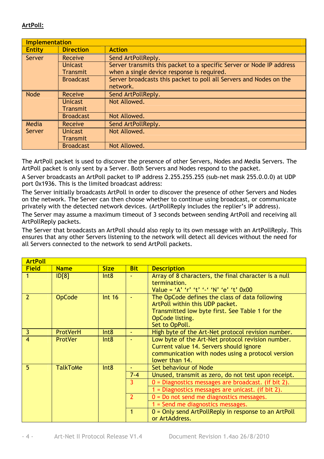#### **ArtPoll:**

|               | <b>Implementation</b>             |                                                                                                                    |  |  |  |
|---------------|-----------------------------------|--------------------------------------------------------------------------------------------------------------------|--|--|--|
| <b>Entity</b> | <b>Direction</b>                  | <b>Action</b>                                                                                                      |  |  |  |
| <b>Server</b> | Receive                           | Send ArtPollReply.                                                                                                 |  |  |  |
|               | <b>Unicast</b><br><b>Transmit</b> | Server transmits this packet to a specific Server or Node IP address<br>when a single device response is required. |  |  |  |
|               | <b>Broadcast</b>                  | Server broadcasts this packet to poll all Servers and Nodes on the<br>network.                                     |  |  |  |
| Node          | <b>Receive</b>                    | Send ArtPollReply.                                                                                                 |  |  |  |
|               | <b>Unicast</b><br>Transmit        | Not Allowed.                                                                                                       |  |  |  |
|               | <b>Broadcast</b>                  | Not Allowed.                                                                                                       |  |  |  |
| Media         | Receive                           | Send ArtPollReply.                                                                                                 |  |  |  |
| Server        | <b>Unicast</b><br><b>Transmit</b> | Not Allowed.                                                                                                       |  |  |  |
|               | <b>Broadcast</b>                  | Not Allowed.                                                                                                       |  |  |  |

The ArtPoll packet is used to discover the presence of other Servers, Nodes and Media Servers. The ArtPoll packet is only sent by a Server. Both Servers and Nodes respond to the packet.

A Server broadcasts an ArtPoll packet to IP address 2.255.255.255 (sub-net mask 255.0.0.0) at UDP port 0x1936. This is the limited broadcast address:

The Server initially broadcasts ArtPoll in order to discover the presence of other Servers and Nodes on the network. The Server can then choose whether to continue using broadcast, or communicate privately with the detected network devices. (ArtPollReply includes the replier's IP address).

The Server may assume a maximum timeout of 3 seconds between sending ArtPoll and receiving all ArtPollReply packets.

The Server that broadcasts an ArtPoll should also reply to its own message with an ArtPollReply. This ensures that any other Servers listening to the network will detect all devices without the need for all Servers connected to the network to send ArtPoll packets.

| <b>ArtPoll</b>           |                 |             |                |                                                                                                                                                                           |  |  |
|--------------------------|-----------------|-------------|----------------|---------------------------------------------------------------------------------------------------------------------------------------------------------------------------|--|--|
| <b>Field</b>             | <b>Name</b>     | <b>Size</b> | <b>Bit</b>     | <b>Description</b>                                                                                                                                                        |  |  |
|                          | D[8]            | Int8        |                | Array of 8 characters, the final character is a null<br>termination.<br>Value = 'A' 'r' 't' '-' 'N' 'e' 't' 0x00                                                          |  |  |
| $\overline{\phantom{a}}$ | <b>OpCode</b>   | Int 16      |                | The OpCode defines the class of data following<br>ArtPoll within this UDP packet.<br>Transmitted low byte first. See Table 1 for the<br>OpCode listing.<br>Set to OpPoll. |  |  |
| $\overline{\mathbf{3}}$  | ProtVerH        | Int8        |                | High byte of the Art-Net protocol revision number.                                                                                                                        |  |  |
| $\overline{4}$           | <b>ProtVer</b>  | Int8        |                | Low byte of the Art-Net protocol revision number.<br>Current value 14. Servers should ignore<br>communication with nodes using a protocol version<br>lower than 14.       |  |  |
| 5                        | <b>TalkToMe</b> | Int8        |                | Set behaviour of Node                                                                                                                                                     |  |  |
|                          |                 |             | $7 - 4$        | Unused, transmit as zero, do not test upon receipt.                                                                                                                       |  |  |
|                          |                 |             | 3              | $0 =$ Diagnostics messages are broadcast. (if bit 2).                                                                                                                     |  |  |
|                          |                 |             |                | 1 = Diagnostics messages are unicast. (if bit 2).                                                                                                                         |  |  |
|                          |                 |             | $\overline{2}$ | $0 = Do$ not send me diagnostics messages.                                                                                                                                |  |  |
|                          |                 |             |                | $1 =$ Send me diagnostics messages.                                                                                                                                       |  |  |
|                          |                 |             |                | $0 =$ Only send ArtPollReply in response to an ArtPoll<br>or ArtAddress.                                                                                                  |  |  |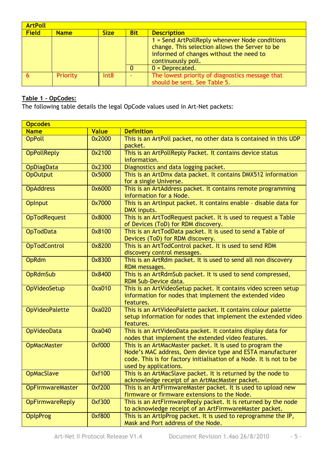| <b>ArtPoll</b>                             |          |      |            |                                                                                                                                                                     |  |
|--------------------------------------------|----------|------|------------|---------------------------------------------------------------------------------------------------------------------------------------------------------------------|--|
| <b>Field</b><br><b>Size</b><br><b>Name</b> |          |      | <b>Bit</b> | <b>Description</b>                                                                                                                                                  |  |
|                                            |          |      |            | $1 =$ Send ArtPollReply whenever Node conditions<br>change. This selection allows the Server to be<br>informed of changes without the need to<br>continuously poll. |  |
|                                            |          |      |            | $0 = Deprecated.$                                                                                                                                                   |  |
|                                            | Priority | Int8 |            | The lowest priority of diagnostics message that<br>should be sent. See Table 5.                                                                                     |  |

#### **Table 1 - OpCodes:**

The following table details the legal OpCode values used in Art-Net packets:

| <b>Opcodes</b>          |              |                                                                                                                                                                                                                        |
|-------------------------|--------------|------------------------------------------------------------------------------------------------------------------------------------------------------------------------------------------------------------------------|
| <b>Name</b>             | <b>Value</b> | <b>Definition</b>                                                                                                                                                                                                      |
| <b>OpPoll</b>           | 0x2000       | This is an ArtPoll packet, no other data is contained in this UDP<br>packet.                                                                                                                                           |
| <b>OpPollReply</b>      | 0x2100       | This is an ArtPollReply Packet. It contains device status<br>information.                                                                                                                                              |
| <b>OpDiagData</b>       | 0x2300       | Diagnostics and data logging packet.                                                                                                                                                                                   |
| <b>OpOutput</b>         | 0x5000       | This is an ArtDmx data packet. It contains DMX512 information<br>for a single Universe.                                                                                                                                |
| <b>OpAddress</b>        | 0x6000       | This is an ArtAddress packet. It contains remote programming<br>information for a Node.                                                                                                                                |
| <b>OpInput</b>          | 0x7000       | This is an ArtInput packet. It contains enable - disable data for<br>DMX inputs.                                                                                                                                       |
| <b>OpTodRequest</b>     | 0x8000       | This is an ArtTodRequest packet. It is used to request a Table<br>of Devices (ToD) for RDM discovery.                                                                                                                  |
| <b>OpTodData</b>        | 0x8100       | This is an ArtTodData packet. It is used to send a Table of<br>Devices (ToD) for RDM discovery.                                                                                                                        |
| <b>OpTodControl</b>     | 0x8200       | This is an ArtTodControl packet. It is used to send RDM<br>discovery control messages.                                                                                                                                 |
| <b>OpRdm</b>            | 0x8300       | This is an ArtRdm packet. It is used to send all non discovery<br>RDM messages.                                                                                                                                        |
| <b>OpRdmSub</b>         | 0x8400       | This is an ArtRdmSub packet. It is used to send compressed,<br>RDM Sub-Device data.                                                                                                                                    |
| OpVideoSetup            | 0xa010       | This is an ArtVideoSetup packet. It contains video screen setup<br>information for nodes that implement the extended video<br>features.                                                                                |
| <b>OpVideoPalette</b>   | 0xa020       | This is an ArtVideoPalette packet. It contains colour palette<br>setup information for nodes that implement the extended video<br>features.                                                                            |
| <b>OpVideoData</b>      | 0xa040       | This is an ArtVideoData packet. It contains display data for<br>nodes that implement the extended video features.                                                                                                      |
| <b>OpMacMaster</b>      | 0xf000       | This is an ArtMacMaster packet. It is used to program the<br>Node's MAC address, Oem device type and ESTA manufacturer<br>code. This is for factory initialisation of a Node. It is not to be<br>used by applications. |
| <b>OpMacSlave</b>       | 0xf100       | This is an ArtMacSlave packet. It is returned by the node to<br>acknowledge receipt of an ArtMacMaster packet.                                                                                                         |
| <b>OpFirmwareMaster</b> | 0xf200       | This is an ArtFirmwareMaster packet. It is used to upload new<br>firmware or firmware extensions to the Node.                                                                                                          |
| <b>OpFirmwareReply</b>  | 0xf300       | This is an ArtFirmwareReply packet. It is returned by the node<br>to acknowledge receipt of an ArtFirmwareMaster packet.                                                                                               |
| <b>OpIpProg</b>         | 0xf800       | This is an ArtlpProg packet. It is used to reprogramme the IP,<br>Mask and Port address of the Node.                                                                                                                   |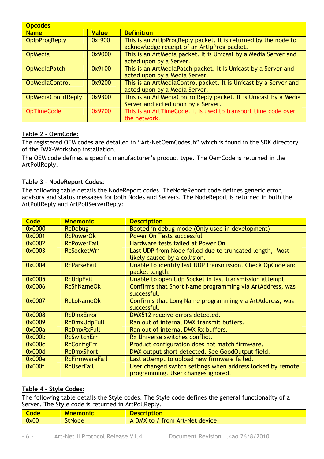| <b>Opcodes</b>            |              |                                                                                                                |  |
|---------------------------|--------------|----------------------------------------------------------------------------------------------------------------|--|
| <b>Name</b>               | <b>Value</b> | <b>Definition</b>                                                                                              |  |
| <b>OpIpProgReply</b>      | 0xf900       | This is an ArtipProgReply packet. It is returned by the node to<br>acknowledge receipt of an ArtIpProg packet. |  |
| <b>OpMedia</b>            | 0x9000       | This is an ArtMedia packet. It is Unicast by a Media Server and<br>acted upon by a Server.                     |  |
| <b>OpMediaPatch</b>       | 0x9100       | This is an ArtMediaPatch packet. It is Unicast by a Server and<br>acted upon by a Media Server.                |  |
| <b>OpMediaControl</b>     | 0x9200       | This is an ArtMediaControl packet. It is Unicast by a Server and<br>acted upon by a Media Server.              |  |
| <b>OpMediaContrlReply</b> | 0x9300       | This is an ArtMediaControlReply packet. It is Unicast by a Media<br>Server and acted upon by a Server.         |  |
| <b>OpTimeCode</b>         | 0x9700       | This is an ArtTimeCode. It is used to transport time code over<br>the network.                                 |  |

#### **Table 2 - OemCode:**

The registered OEM codes are detailed in "Art-NetOemCodes.h" which is found in the SDK directory of the DMX-Workshop installation.

The OEM code defines a specific manufacturer's product type. The OemCode is returned in the ArtPollReply.

#### **Table 3 – NodeReport Codes:**

The following table details the NodeReport codes. TheNodeReport code defines generic error, advisory and status messages for both Nodes and Servers. The NodeReport is returned in both the ArtPollReply and ArtPollServerReply:

| Code   | <b>Mnemonic</b>       | <b>Description</b>                                         |
|--------|-----------------------|------------------------------------------------------------|
| 0x0000 | <b>RcDebug</b>        | Booted in debug mode (Only used in development)            |
| 0x0001 | <b>RcPowerOk</b>      | Power On Tests successful                                  |
| 0x0002 | <b>RcPowerFail</b>    | Hardware tests failed at Power On                          |
| 0x0003 | RcSocketWr1           | Last UDP from Node failed due to truncated length, Most    |
|        |                       | likely caused by a collision.                              |
| 0x0004 | <b>RcParseFail</b>    | Unable to identify last UDP transmission. Check OpCode and |
|        |                       | packet length.                                             |
| 0x0005 | <b>RcUdpFail</b>      | Unable to open Udp Socket in last transmission attempt     |
| 0x0006 | <b>RcShNameOk</b>     | Confirms that Short Name programming via ArtAddress, was   |
|        |                       | successful.                                                |
| 0x0007 | <b>RcLoNameOk</b>     | Confirms that Long Name programming via ArtAddress, was    |
|        |                       | successful.                                                |
| 0x0008 | <b>RcDmxError</b>     | DMX512 receive errors detected.                            |
| 0x0009 | <b>RcDmxUdpFull</b>   | Ran out of internal DMX transmit buffers.                  |
| 0x000a | <b>RcDmxRxFull</b>    | Ran out of internal DMX Rx buffers.                        |
| 0x000b | <b>RcSwitchErr</b>    | Rx Universe switches conflict.                             |
| 0x000c | <b>RcConfigErr</b>    | Product configuration does not match firmware.             |
| 0x000d | <b>RcDmxShort</b>     | DMX output short detected. See GoodOutput field.           |
| 0x000e | <b>RcFirmwareFail</b> | Last attempt to upload new firmware failed.                |
| 0x000f | <b>RcUserFail</b>     | User changed switch settings when address locked by remote |
|        |                       | programming. User changes ignored.                         |

#### **Table 4 – Style Codes:**

The following table details the Style codes. The Style code defines the general functionality of a Server. The Style code is returned in ArtPollReply.

| Lode | an i m<br><u> Mnemonic</u> | <u>ription</u><br>Descr                                     |
|------|----------------------------|-------------------------------------------------------------|
| 0x00 | <b>StNode</b>              | device<br><b>c-Net</b><br>DMX<br><b>Art</b><br>from:<br>LO. |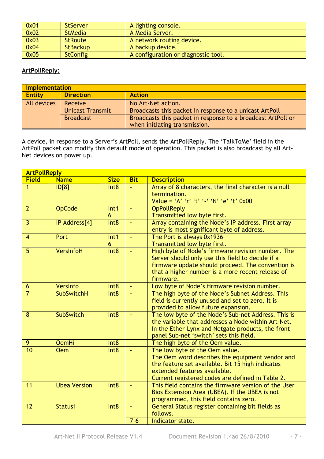| 0x01 | <b>StServer</b> | A lighting console.                 |
|------|-----------------|-------------------------------------|
| 0x02 | <b>StMedia</b>  | A Media Server.                     |
| 0x03 | <b>StRoute</b>  | A network routing device.           |
| 0x04 | <b>StBackup</b> | A backup device.                    |
| 0x05 | <b>StConfig</b> | A configuration or diagnostic tool. |

#### **ArtPollReply:**

|               | Implementation          |                                                              |  |  |  |
|---------------|-------------------------|--------------------------------------------------------------|--|--|--|
| <b>Entity</b> | <b>Direction</b>        | <b>Action</b>                                                |  |  |  |
| All devices   | Receive                 | No Art-Net action.                                           |  |  |  |
|               | <b>Unicast Transmit</b> | Broadcasts this packet in response to a unicast ArtPoll      |  |  |  |
|               | <b>Broadcast</b>        | Broadcasts this packet in response to a broadcast ArtPoll or |  |  |  |
|               |                         | when initiating transmission.                                |  |  |  |

A device, in response to a Server's ArtPoll, sends the ArtPollReply. The 'TalkToMe' field in the ArtPoll packet can modify this default mode of operation. This packet is also broadcast by all Art-Net devices on power up.

|                | <b>ArtPollReply</b> |                       |                |                                                                                                                                                                                                                             |  |
|----------------|---------------------|-----------------------|----------------|-----------------------------------------------------------------------------------------------------------------------------------------------------------------------------------------------------------------------------|--|
| <b>Field</b>   | <b>Name</b>         | <b>Size</b>           | <b>Bit</b>     | <b>Description</b>                                                                                                                                                                                                          |  |
| $\mathbf{1}$   | ID[8]               | Int8                  |                | Array of 8 characters, the final character is a null<br>termination.<br>Value = 'A' 'r' 't' '-' 'N' 'e' 't' 0x00                                                                                                            |  |
| $\overline{2}$ | <b>OpCode</b>       | Int1<br>6             | $\omega$       | <b>OpPollReply</b><br>Transmitted low byte first.                                                                                                                                                                           |  |
| $\overline{3}$ | IP Address[4]       | Int8                  | ¥.             | Array containing the Node's IP address. First array<br>entry is most significant byte of address.                                                                                                                           |  |
| $\overline{4}$ | Port                | Int <sub>1</sub><br>6 | ä,             | The Port is always 0x1936<br>Transmitted low byte first.                                                                                                                                                                    |  |
| 5              | VersInfoH           | Int8                  |                | High byte of Node's firmware revision number. The<br>Server should only use this field to decide if a<br>firmware update should proceed. The convention is<br>that a higher number is a more recent release of<br>firmware. |  |
| 6              | Versinfo            | Int <sub>8</sub>      |                | Low byte of Node's firmware revision number.                                                                                                                                                                                |  |
| $\overline{7}$ | <b>SubSwitchH</b>   | Int8                  |                | The high byte of the Node's Subnet Address. This<br>field is currently unused and set to zero. It is<br>provided to allow future expansion.                                                                                 |  |
| 8              | <b>SubSwitch</b>    | Int8                  | $\blacksquare$ | The low byte of the Node's Sub-net Address. This is<br>the variable that addresses a Node within Art-Net.<br>In the Ether-Lynx and Netgate products, the front<br>panel Sub-net 'switch' sets this field.                   |  |
| 9              | <b>OemHi</b>        | Int <sub>8</sub>      | ÷.             | The high byte of the Oem value.                                                                                                                                                                                             |  |
| 10             | <b>Oem</b>          | Int8                  |                | The low byte of the Oem value.<br>The Oem word describes the equipment vendor and<br>the feature set available. Bit 15 high indicates<br>extended features available.<br>Current registered codes are defined in Table 2.   |  |
| 11             | <b>Ubea Version</b> | Int8                  |                | This field contains the firmware version of the User<br>Bios Extension Area (UBEA). If the UBEA is not<br>programmed, this field contains zero.                                                                             |  |
| 12             | Status1             | Int8                  |                | General Status register containing bit fields as<br>follows.                                                                                                                                                                |  |
|                |                     |                       | $7-6$          | Indicator state.                                                                                                                                                                                                            |  |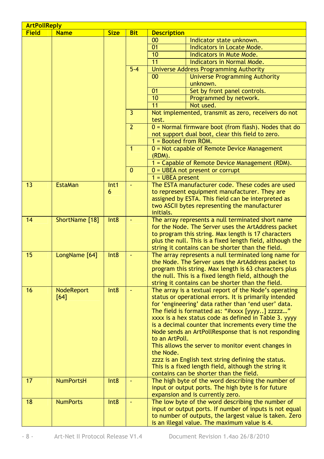| <b>Field</b><br><b>Name</b><br><b>Size</b><br><b>Description</b><br><b>Bit</b>                                                                  |  |
|-------------------------------------------------------------------------------------------------------------------------------------------------|--|
|                                                                                                                                                 |  |
| 00<br>Indicator state unknown.                                                                                                                  |  |
| 01<br>Indicators in Locate Mode.                                                                                                                |  |
| 10<br>Indicators in Mute Mode.                                                                                                                  |  |
| 11<br>Indicators in Normal Mode.                                                                                                                |  |
| $5 - 4$<br>Universe Address Programming Authority                                                                                               |  |
| 00<br><b>Universe Programming Authority</b>                                                                                                     |  |
| unknown.                                                                                                                                        |  |
| Set by front panel controls.<br>01<br>10<br>Programmed by network.                                                                              |  |
| 11<br>Not used.                                                                                                                                 |  |
| 3                                                                                                                                               |  |
| Not implemented, transmit as zero, receivers do not<br>test.                                                                                    |  |
| $\overline{2}$<br>$0$ = Normal firmware boot (from flash). Nodes that do<br>not support dual boot, clear this field to zero.                    |  |
| $1 =$ Booted from ROM.                                                                                                                          |  |
| $\mathbf{1}$<br>0 = Not capable of Remote Device Management<br>(RDM).                                                                           |  |
| 1 = Capable of Remote Device Management (RDM).                                                                                                  |  |
| $\Omega$<br>$0 = UBEA$ not present or corrupt                                                                                                   |  |
| $1 = UBEA present$                                                                                                                              |  |
| 13<br><b>EstaMan</b><br>The ESTA manufacturer code. These codes are used<br>Int1<br>$\omega$                                                    |  |
| to represent equipment manufacturer. They are<br>6                                                                                              |  |
| assigned by ESTA. This field can be interpreted as                                                                                              |  |
| two ASCII bytes representing the manufacturer                                                                                                   |  |
| initials.                                                                                                                                       |  |
| 14<br>ShortName [18]<br>Int <sub>8</sub><br>The array represents a null terminated short name                                                   |  |
| for the Node. The Server uses the ArtAddress packet                                                                                             |  |
| to program this string. Max length is 17 characters                                                                                             |  |
| plus the null. This is a fixed length field, although the                                                                                       |  |
| string it contains can be shorter than the field.<br>15                                                                                         |  |
| LongName [64]<br>Int <sub>8</sub><br>The array represents a null terminated long name for<br>the Node. The Server uses the ArtAddress packet to |  |
| program this string. Max length is 63 characters plus                                                                                           |  |
| the null. This is a fixed length field, although the                                                                                            |  |
| string it contains can be shorter than the field.                                                                                               |  |
| The array is a textual report of the Node's operating<br>16<br><b>NodeReport</b><br>Int <sub>8</sub><br>$\blacksquare$                          |  |
| status or operational errors. It is primarily intended<br>[64]                                                                                  |  |
| for 'engineering' data rather than 'end user' data.                                                                                             |  |
| The field is formatted as: "#xxxx [yyyy] zzzzz"                                                                                                 |  |
| xxxx is a hex status code as defined in Table 3. yyyy                                                                                           |  |
| is a decimal counter that increments every time the                                                                                             |  |
| Node sends an ArtPollResponse that is not responding                                                                                            |  |
| to an ArtPoll.                                                                                                                                  |  |
| This allows the server to monitor event changes in                                                                                              |  |
| the Node.                                                                                                                                       |  |
| zzzz is an English text string defining the status.                                                                                             |  |
| This is a fixed length field, although the string it                                                                                            |  |
| contains can be shorter than the field.                                                                                                         |  |
| 17<br><b>NumPortsH</b><br>The high byte of the word describing the number of<br>Int <sub>8</sub>                                                |  |
| input or output ports. The high byte is for future                                                                                              |  |
| expansion and is currently zero.<br>The low byte of the word describing the number of<br>18<br><b>NumPorts</b><br>Int8<br>$\omega$              |  |
| input or output ports. If number of inputs is not equal                                                                                         |  |
| to number of outputs, the largest value is taken. Zero                                                                                          |  |
| is an illegal value. The maximum value is 4.                                                                                                    |  |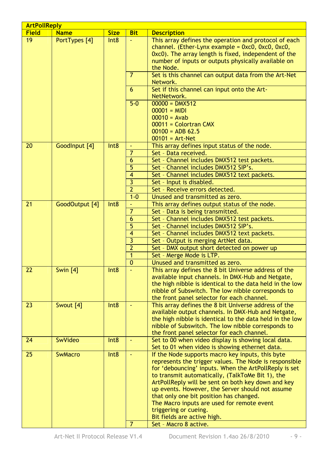|              | <b>ArtPollReply</b>   |                  |                |                                                                                                                                                                                                                                                                                                                                                                                                                                                                                    |  |  |
|--------------|-----------------------|------------------|----------------|------------------------------------------------------------------------------------------------------------------------------------------------------------------------------------------------------------------------------------------------------------------------------------------------------------------------------------------------------------------------------------------------------------------------------------------------------------------------------------|--|--|
| <b>Field</b> | <b>Name</b>           | <b>Size</b>      | <b>Bit</b>     | <b>Description</b>                                                                                                                                                                                                                                                                                                                                                                                                                                                                 |  |  |
| 19           | PortTypes [4]<br>Int8 |                  |                | This array defines the operation and protocol of each<br>channel. (Ether-Lynx example = $0 \times 0$ , $0 \times 0$ , $0 \times 0$ ,<br>0xc0). The array length is fixed, independent of the<br>number of inputs or outputs physically available on<br>the Node.                                                                                                                                                                                                                   |  |  |
|              |                       |                  | $\overline{7}$ | Set is this channel can output data from the Art-Net<br>Network.                                                                                                                                                                                                                                                                                                                                                                                                                   |  |  |
|              |                       |                  | 6              | Set if this channel can input onto the Art-<br>NetNetwork.                                                                                                                                                                                                                                                                                                                                                                                                                         |  |  |
|              |                       |                  | $5 - 0$        | $00000 =$ DMX512<br>$00001 = MIDI$<br>$00010 = Avab$<br>00011 = Colortran CMX<br>$00100 = ADB 62.5$<br>$00101 = Art-Net$                                                                                                                                                                                                                                                                                                                                                           |  |  |
| 20           | GoodInput [4]         | Int8             |                | This array defines input status of the node.                                                                                                                                                                                                                                                                                                                                                                                                                                       |  |  |
|              |                       |                  | $\overline{7}$ | Set - Data received.                                                                                                                                                                                                                                                                                                                                                                                                                                                               |  |  |
|              |                       |                  | 6              | Set - Channel includes DMX512 test packets.                                                                                                                                                                                                                                                                                                                                                                                                                                        |  |  |
|              |                       |                  | 5              | Set - Channel includes DMX512 SIP's.                                                                                                                                                                                                                                                                                                                                                                                                                                               |  |  |
|              |                       |                  | $\overline{4}$ | Set - Channel includes DMX512 text packets.                                                                                                                                                                                                                                                                                                                                                                                                                                        |  |  |
|              |                       |                  | $\overline{3}$ | Set - Input is disabled.                                                                                                                                                                                                                                                                                                                                                                                                                                                           |  |  |
|              |                       |                  | $\overline{2}$ | Set - Receive errors detected.                                                                                                                                                                                                                                                                                                                                                                                                                                                     |  |  |
|              |                       |                  | $1 - 0$        | Unused and transmitted as zero.                                                                                                                                                                                                                                                                                                                                                                                                                                                    |  |  |
| 21           | GoodOutput [4]        | Int8             |                | This array defines output status of the node.                                                                                                                                                                                                                                                                                                                                                                                                                                      |  |  |
|              |                       |                  | $\overline{7}$ | Set - Data is being transmitted.                                                                                                                                                                                                                                                                                                                                                                                                                                                   |  |  |
|              |                       |                  | 6              | Set - Channel includes DMX512 test packets.                                                                                                                                                                                                                                                                                                                                                                                                                                        |  |  |
|              |                       |                  | 5              | Set - Channel includes DMX512 SIP's.                                                                                                                                                                                                                                                                                                                                                                                                                                               |  |  |
|              |                       |                  | $\overline{4}$ | Set - Channel includes DMX512 text packets.                                                                                                                                                                                                                                                                                                                                                                                                                                        |  |  |
|              |                       |                  | $\overline{3}$ | Set - Output is merging ArtNet data.                                                                                                                                                                                                                                                                                                                                                                                                                                               |  |  |
|              |                       |                  | $\overline{2}$ | Set - DMX output short detected on power up                                                                                                                                                                                                                                                                                                                                                                                                                                        |  |  |
|              |                       |                  | $\mathbf{1}$   | Set - Merge Mode is LTP.                                                                                                                                                                                                                                                                                                                                                                                                                                                           |  |  |
|              |                       |                  | $\mathbf{0}$   | Unused and transmitted as zero.                                                                                                                                                                                                                                                                                                                                                                                                                                                    |  |  |
| 22           | <b>Swin</b> [4]       | Int <sub>8</sub> |                | This array defines the 8 bit Universe address of the<br>available input channels. In DMX-Hub and Netgate,<br>the high nibble is identical to the data held in the low<br>nibble of Subswitch. The low nibble corresponds to<br>the front panel selector for each channel.                                                                                                                                                                                                          |  |  |
| 23           | Swout [4]             | Int <sub>8</sub> | $\omega$       | This array defines the 8 bit Universe address of the<br>available output channels. In DMX-Hub and Netgate,<br>the high nibble is identical to the data held in the low<br>nibble of Subswitch. The low nibble corresponds to<br>the front panel selector for each channel.                                                                                                                                                                                                         |  |  |
| 24           | <b>SwVideo</b>        | Int <sub>8</sub> | $\blacksquare$ | Set to 00 when video display is showing local data.<br>Set to 01 when video is showing ethernet data.                                                                                                                                                                                                                                                                                                                                                                              |  |  |
| 25           | <b>SwMacro</b>        | Int <sub>8</sub> | $\blacksquare$ | If the Node supports macro key inputs, this byte<br>represents the trigger values. The Node is responsible<br>for 'debouncing' inputs. When the ArtPollReply is set<br>to transmit automatically, (TalkToMe Bit 1), the<br>ArtPollReply will be sent on both key down and key<br>up events. However, the Server should not assume<br>that only one bit position has changed.<br>The Macro inputs are used for remote event<br>triggering or cueing.<br>Bit fields are active high. |  |  |
|              |                       |                  |                | Set - Macro 8 active.                                                                                                                                                                                                                                                                                                                                                                                                                                                              |  |  |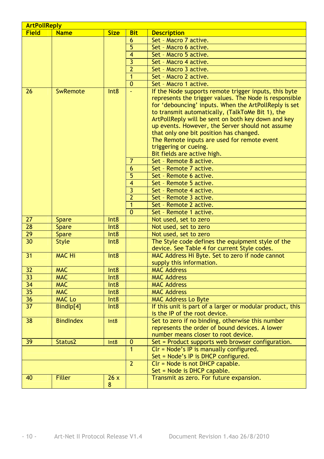| <b>ArtPollReply</b> |                              |                  |                |                                                           |  |
|---------------------|------------------------------|------------------|----------------|-----------------------------------------------------------|--|
| <b>Field</b>        | <b>Name</b>                  | <b>Size</b>      | <b>Bit</b>     | <b>Description</b>                                        |  |
|                     |                              |                  | 6              | Set - Macro 7 active.                                     |  |
|                     |                              |                  | 5              | Set - Macro 6 active.                                     |  |
|                     |                              |                  | $\overline{4}$ | Set - Macro 5 active.                                     |  |
|                     |                              |                  | $\overline{3}$ | Set - Macro 4 active.                                     |  |
|                     |                              |                  | $\overline{2}$ | Set - Macro 3 active.                                     |  |
|                     |                              |                  | $\overline{1}$ | Set - Macro 2 active.                                     |  |
|                     |                              |                  | $\mathbf{0}$   | Set - Macro 1 active.                                     |  |
| 26                  | SwRemote                     | Int8             | ä,             | If the Node supports remote trigger inputs, this byte     |  |
|                     |                              |                  |                | represents the trigger values. The Node is responsible    |  |
|                     |                              |                  |                | for 'debouncing' inputs. When the ArtPollReply is set     |  |
|                     |                              |                  |                | to transmit automatically, (TalkToMe Bit 1), the          |  |
|                     |                              |                  |                | ArtPollReply will be sent on both key down and key        |  |
|                     |                              |                  |                | up events. However, the Server should not assume          |  |
|                     |                              |                  |                | that only one bit position has changed.                   |  |
|                     |                              |                  |                | The Remote inputs are used for remote event               |  |
|                     |                              |                  |                | triggering or cueing.                                     |  |
|                     |                              |                  |                | Bit fields are active high.                               |  |
|                     |                              |                  | 7              | Set - Remote 8 active.                                    |  |
|                     |                              |                  | 6              | Set - Remote 7 active.                                    |  |
|                     |                              |                  | 5              | Set - Remote 6 active.                                    |  |
|                     |                              |                  | $\overline{4}$ | Set - Remote 5 active.                                    |  |
|                     |                              |                  | $\overline{3}$ | Set - Remote 4 active.                                    |  |
|                     |                              |                  | $\overline{2}$ | Set - Remote 3 active.                                    |  |
|                     |                              |                  | $\overline{1}$ | Set - Remote 2 active.                                    |  |
|                     |                              |                  | $\Omega$       | Set - Remote 1 active.                                    |  |
| 27                  | <b>Spare</b>                 | Int <sub>8</sub> |                | Not used, set to zero                                     |  |
| 28                  | <b>Spare</b>                 | Int8             |                | Not used, set to zero                                     |  |
| 29                  |                              | Int <sub>8</sub> |                | Not used, set to zero                                     |  |
| 30                  | <b>Spare</b><br><b>Style</b> | Int8             |                | The Style code defines the equipment style of the         |  |
|                     |                              |                  |                | device. See Table 4 for current Style codes.              |  |
| 31                  | <b>MAC Hi</b>                | Int8             |                | MAC Address Hi Byte. Set to zero if node cannot           |  |
|                     |                              |                  |                |                                                           |  |
|                     | <b>MAC</b>                   |                  |                | supply this information.<br><b>MAC Address</b>            |  |
| 32                  |                              | Int8             |                |                                                           |  |
| $\overline{33}$     | <b>MAC</b>                   | Int <sub>8</sub> |                | <b>MAC Address</b>                                        |  |
| 34                  | <b>MAC</b>                   | Int8             |                | <b>MAC Address</b>                                        |  |
| $\overline{35}$     | <b>MAC</b>                   | Int8             |                | <b>MAC Address</b>                                        |  |
| 36                  | <b>MAC Lo</b>                | Int8             |                | <b>MAC Address Lo Byte</b>                                |  |
| $\overline{37}$     | Bindlp[4]                    | Int8             |                | If this unit is part of a larger or modular product, this |  |
|                     |                              |                  |                | is the IP of the root device.                             |  |
| 38                  | <b>BindIndex</b>             | Int8             |                | Set to zero if no binding, otherwise this number          |  |
|                     |                              |                  |                | represents the order of bound devices. A lower            |  |
|                     |                              |                  |                | number means closer to root device.                       |  |
| 39                  | Status2                      | Int8             | $\mathbf{0}$   | Set = Product supports web browser configuration.         |  |
|                     |                              |                  | $\overline{1}$ | Clr = Node's IP is manually configured.                   |  |
|                     |                              |                  |                | Set = Node's IP is DHCP configured.                       |  |
|                     |                              |                  | $\overline{2}$ | Clr = Node is not DHCP capable.                           |  |
|                     |                              |                  |                | Set = Node is DHCP capable.                               |  |
| 40                  | <b>Filler</b>                | 26x              |                | Transmit as zero. For future expansion.                   |  |
|                     |                              | 8                |                |                                                           |  |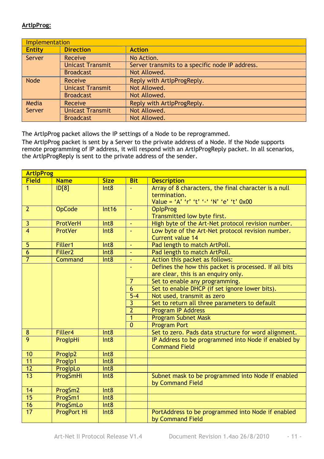#### **ArtIpProg:**

|               | Implementation          |                                                 |  |  |  |
|---------------|-------------------------|-------------------------------------------------|--|--|--|
| <b>Entity</b> | <b>Direction</b>        | <b>Action</b>                                   |  |  |  |
| Server        | <b>Receive</b>          | No Action.                                      |  |  |  |
|               | <b>Unicast Transmit</b> | Server transmits to a specific node IP address. |  |  |  |
|               | <b>Broadcast</b>        | Not Allowed.                                    |  |  |  |
| <b>Node</b>   | Receive                 | Reply with ArtIpProgReply.                      |  |  |  |
|               | <b>Unicast Transmit</b> | Not Allowed.                                    |  |  |  |
|               | <b>Broadcast</b>        | Not Allowed.                                    |  |  |  |
| Media         | Receive                 | Reply with ArtIpProgReply.                      |  |  |  |
| Server        | <b>Unicast Transmit</b> | Not Allowed.                                    |  |  |  |
|               | <b>Broadcast</b>        | Not Allowed.                                    |  |  |  |

The ArtIpProg packet allows the IP settings of a Node to be reprogrammed.

The ArtIpProg packet is sent by a Server to the private address of a Node. If the Node supports remote programming of IP address, it will respond with an ArtIpProgReply packet. In all scenarios, the ArtIpProgReply is sent to the private address of the sender.

|                | <b>ArtipProg</b>    |                  |                |                                                       |  |  |  |
|----------------|---------------------|------------------|----------------|-------------------------------------------------------|--|--|--|
| <b>Field</b>   | <b>Name</b>         | <b>Size</b>      | <b>Bit</b>     | <b>Description</b>                                    |  |  |  |
| $\mathbf{1}$   | ID[8]               | Int8             | $\blacksquare$ | Array of 8 characters, the final character is a null  |  |  |  |
|                |                     |                  |                | termination.                                          |  |  |  |
|                |                     |                  |                | Value = 'A' 'r' 't' '-' 'N' 'e' 't' 0x00              |  |  |  |
| $\overline{2}$ | <b>OpCode</b>       | Int16            | $\omega$       | <b>OpIpProg</b>                                       |  |  |  |
|                |                     |                  |                | Transmitted low byte first.                           |  |  |  |
| 3              | <b>ProtVerH</b>     | Int8             | ä,             | High byte of the Art-Net protocol revision number.    |  |  |  |
| $\overline{4}$ | ProtVer             | Int8             |                | Low byte of the Art-Net protocol revision number.     |  |  |  |
|                |                     |                  |                | Current value 14                                      |  |  |  |
| 5              | Filler1             | Int <sub>8</sub> | $\blacksquare$ | Pad length to match ArtPoll.                          |  |  |  |
| $\overline{6}$ | Filler <sub>2</sub> | Int8             | $\blacksquare$ | Pad length to match ArtPoll.                          |  |  |  |
| $\overline{7}$ | <b>Command</b>      | Int <sub>8</sub> | Ξ              | Action this packet as follows:                        |  |  |  |
|                |                     |                  |                | Defines the how this packet is processed. If all bits |  |  |  |
|                |                     |                  |                | are clear, this is an enquiry only.                   |  |  |  |
|                |                     |                  | $\overline{7}$ | Set to enable any programming.                        |  |  |  |
|                |                     |                  | $\overline{6}$ | Set to enable DHCP (if set ignore lower bits).        |  |  |  |
|                |                     |                  | $5 - 4$        | Not used, transmit as zero                            |  |  |  |
|                |                     |                  | 3              | Set to return all three parameters to default         |  |  |  |
|                |                     |                  | $\overline{2}$ | <b>Program IP Address</b>                             |  |  |  |
|                |                     |                  | $\mathbf{1}$   | <b>Program Subnet Mask</b>                            |  |  |  |
|                |                     |                  | $\overline{0}$ | <b>Program Port</b>                                   |  |  |  |
| 8              | Filler4             | Int8             |                | Set to zero. Pads data structure for word alignment.  |  |  |  |
| $\overline{9}$ | ProglpHi            | Int <sub>8</sub> |                | IP Address to be programmed into Node if enabled by   |  |  |  |
|                |                     |                  |                | <b>Command Field</b>                                  |  |  |  |
| 10             | Proglp2             | Int8             |                |                                                       |  |  |  |
| 11             | Proglp1             | Int8             |                |                                                       |  |  |  |
| 12             | ProglpLo            | Int8             |                |                                                       |  |  |  |
| 13             | ProgSmHi            | Int8             |                | Subnet mask to be programmed into Node if enabled     |  |  |  |
|                |                     |                  |                | by Command Field                                      |  |  |  |
| 14             | ProgSm2             | Int8             |                |                                                       |  |  |  |
| 15             | ProgSm1             | Int <sub>8</sub> |                |                                                       |  |  |  |
| 16             | ProgSmLo            | Int8             |                |                                                       |  |  |  |
| 17             | <b>ProgPort Hi</b>  | Int8             |                | PortAddress to be programmed into Node if enabled     |  |  |  |
|                |                     |                  |                | by Command Field                                      |  |  |  |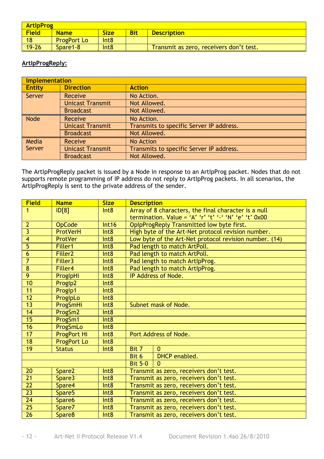| <b>ArtipProg</b> |                    |                  |            |                                         |  |
|------------------|--------------------|------------------|------------|-----------------------------------------|--|
| <b>Field</b>     | <b>Name</b>        | <b>Size</b>      | <b>Bit</b> | <b>Description</b>                      |  |
| 18               | <b>ProgPort Lo</b> | Int <sub>8</sub> |            |                                         |  |
| $19 - 26$        | Spare1-8           | Int <sub>8</sub> |            | Transmit as zero, receivers don't test. |  |

#### **ArtIpProgReply:**

|               | <b>Implementation</b>   |                                          |  |  |  |  |
|---------------|-------------------------|------------------------------------------|--|--|--|--|
| <b>Entity</b> | <b>Direction</b>        | <b>Action</b>                            |  |  |  |  |
| Server        | Receive                 | No Action.                               |  |  |  |  |
|               | <b>Unicast Transmit</b> | Not Allowed.                             |  |  |  |  |
|               | <b>Broadcast</b>        | Not Allowed.                             |  |  |  |  |
| <b>Node</b>   | Receive                 | No Action.                               |  |  |  |  |
|               | <b>Unicast Transmit</b> | Transmits to specific Server IP address. |  |  |  |  |
|               | <b>Broadcast</b>        | Not Allowed.                             |  |  |  |  |
| Media         | Receive                 | No Action                                |  |  |  |  |
| Server        | <b>Unicast Transmit</b> | Transmits to specific Server IP address. |  |  |  |  |
|               | <b>Broadcast</b>        | Not Allowed.                             |  |  |  |  |

The ArtIpProgReply packet is issued by a Node in response to an ArtIpProg packet. Nodes that do not supports remote programming of IP address do not reply to ArtIpProg packets. In all scenarios, the ArtIpProgReply is sent to the private address of the sender.

| <b>Field</b>    | <b>Name</b>         | <b>Size</b>      | <b>Description</b>                      |                                                        |  |
|-----------------|---------------------|------------------|-----------------------------------------|--------------------------------------------------------|--|
| $\mathbf{1}$    | ID[8]               | Int <sub>8</sub> |                                         | Array of 8 characters, the final character is a null   |  |
|                 |                     |                  |                                         | termination. Value = 'A' 'r' 't' '-' 'N' 'e' 't' 0x00  |  |
| $\overline{2}$  | <b>OpCode</b>       | Int16            |                                         | OpIpProgReply Transmitted low byte first.              |  |
| $\overline{3}$  | ProtVerH            | Int8             |                                         | High byte of the Art-Net protocol revision number.     |  |
| $\overline{4}$  | ProtVer             | Int8             |                                         | Low byte of the Art-Net protocol revision number. (14) |  |
| $\overline{5}$  | Filler1             | Int8             |                                         | Pad length to match ArtPoll.                           |  |
| $\overline{6}$  | Filler <sub>2</sub> | Int <sub>8</sub> |                                         | Pad length to match ArtPoll.                           |  |
| $\overline{7}$  | Filler3             | Int <sub>8</sub> |                                         | Pad length to match ArtipProg.                         |  |
| $\overline{8}$  | Filler4             | Int <sub>8</sub> |                                         | Pad length to match ArtipProg.                         |  |
| 9               | ProglpHi            | Int <sub>8</sub> |                                         | IP Address of Node.                                    |  |
| 10              | Proglp2             | Int <sub>8</sub> |                                         |                                                        |  |
| 11              | Proglp1             | Int <sub>8</sub> |                                         |                                                        |  |
| 12              | ProglpLo            | Int <sub>8</sub> |                                         |                                                        |  |
| 13              | ProgSmHi            | Int <sub>8</sub> |                                         | Subnet mask of Node.                                   |  |
| $\overline{14}$ | ProgSm2             | Int8             |                                         |                                                        |  |
| 15              | ProgSm1             | Int <sub>8</sub> |                                         |                                                        |  |
| 16              | ProgSmLo            | Int <sub>8</sub> |                                         |                                                        |  |
| $-17$           | <b>ProgPort Hi</b>  | Int8             |                                         | Port Address of Node.                                  |  |
| 18              | <b>ProgPort Lo</b>  | Int8             |                                         |                                                        |  |
| 19              | <b>Status</b>       | Int8             | Bit 7                                   | $\Omega$                                               |  |
|                 |                     |                  | Bit 6                                   | DHCP enabled.                                          |  |
|                 |                     |                  | <b>Bit 5-0</b>                          | $\Omega$                                               |  |
| 20              | Spare2              | Int8             |                                         | Transmit as zero, receivers don't test.                |  |
| 21              | Spare3              | Int8             | Transmit as zero, receivers don't test. |                                                        |  |
| $\overline{22}$ | Spare4              | Int8             | Transmit as zero, receivers don't test. |                                                        |  |
| $\overline{23}$ | Spare <sub>5</sub>  | Int <sub>8</sub> | Transmit as zero, receivers don't test. |                                                        |  |
| 24              | Spare6              | Int8             | Transmit as zero, receivers don't test. |                                                        |  |
| 25              | Spare7              | Int <sub>8</sub> |                                         | Transmit as zero, receivers don't test.                |  |
| $\overline{26}$ | Spare8              | Int <sub>8</sub> |                                         | Transmit as zero, receivers don't test.                |  |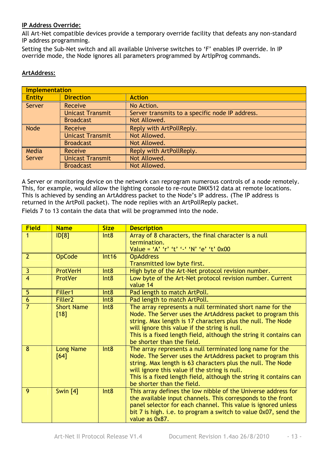#### **IP Address Override:**

All Art-Net compatible devices provide a temporary override facility that defeats any non-standard IP address programming.

Setting the Sub-Net switch and all available Universe switches to 'F' enables IP override. In IP override mode, the Node ignores all parameters programmed by ArtIpProg commands.

#### **ArtAddress:**

|               | <b>Implementation</b>   |                                                 |  |  |  |
|---------------|-------------------------|-------------------------------------------------|--|--|--|
| <b>Entity</b> | <b>Direction</b>        | <b>Action</b>                                   |  |  |  |
| Server        | <b>Receive</b>          | No Action.                                      |  |  |  |
|               | <b>Unicast Transmit</b> | Server transmits to a specific node IP address. |  |  |  |
|               | <b>Broadcast</b>        | Not Allowed.                                    |  |  |  |
| <b>Node</b>   | Receive                 | Reply with ArtPollReply.                        |  |  |  |
|               | <b>Unicast Transmit</b> | Not Allowed.                                    |  |  |  |
|               | <b>Broadcast</b>        | Not Allowed.                                    |  |  |  |
| Media         | <b>Receive</b>          | Reply with ArtPollReply.                        |  |  |  |
| Server        | <b>Unicast Transmit</b> | Not Allowed.                                    |  |  |  |
|               | <b>Broadcast</b>        | Not Allowed.                                    |  |  |  |

A Server or monitoring device on the network can reprogram numerous controls of a node remotely. This, for example, would allow the lighting console to re-route DMX512 data at remote locations. This is achieved by sending an ArtAddress packet to the Node's IP address. (The IP address is returned in the ArtPoll packet). The node replies with an ArtPollReply packet.

Fields 7 to 13 contain the data that will be programmed into the node.

| <b>Field</b>   | <b>Name</b>               | <b>Size</b> | <b>Description</b>                                                                                                                                                                                                                                                                                                                          |
|----------------|---------------------------|-------------|---------------------------------------------------------------------------------------------------------------------------------------------------------------------------------------------------------------------------------------------------------------------------------------------------------------------------------------------|
|                | ID[8]                     | Int8        | Array of 8 characters, the final character is a null<br>termination.<br>Value = 'A' 'r' 't' '-' 'N' 'e' 't' 0x00                                                                                                                                                                                                                            |
| $\overline{2}$ | <b>OpCode</b>             | Int16       | <b>OpAddress</b><br>Transmitted low byte first.                                                                                                                                                                                                                                                                                             |
| 3              | <b>ProtVerH</b>           | Int8        | High byte of the Art-Net protocol revision number.                                                                                                                                                                                                                                                                                          |
| $\overline{4}$ | ProtVer                   | Int8        | Low byte of the Art-Net protocol revision number. Current<br>value 14                                                                                                                                                                                                                                                                       |
| 5              | Filler1                   | Int8        | Pad length to match ArtPoll.                                                                                                                                                                                                                                                                                                                |
| $\overline{6}$ | Filler <sub>2</sub>       | Int8        | Pad length to match ArtPoll.                                                                                                                                                                                                                                                                                                                |
| $\overline{7}$ | <b>Short Name</b><br>[18] | Int8        | The array represents a null terminated short name for the<br>Node. The Server uses the ArtAddress packet to program this<br>string. Max length is 17 characters plus the null. The Node<br>will ignore this value if the string is null.<br>This is a fixed length field, although the string it contains can<br>be shorter than the field. |
| 8              | <b>Long Name</b><br>[64]  | Int8        | The array represents a null terminated long name for the<br>Node. The Server uses the ArtAddress packet to program this<br>string. Max length is 63 characters plus the null. The Node<br>will ignore this value if the string is null.<br>This is a fixed length field, although the string it contains can<br>be shorter than the field.  |
| 9              | Swin $[4]$                | Int8        | This array defines the low nibble of the Universe address for<br>the available input channels. This corresponds to the front<br>panel selector for each channel. This value is ignored unless<br>bit 7 is high, i.e. to program a switch to value 0x07, send the<br>value as 0x87.                                                          |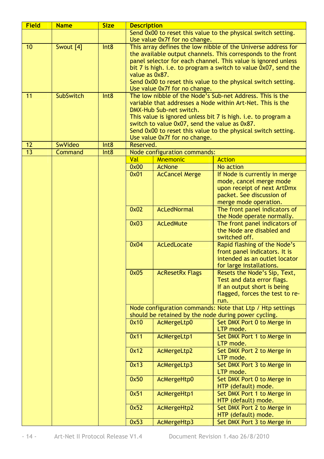| <b>Field</b> | <b>Name</b>      | <b>Size</b>      | <b>Description</b>                                            |                                               |                                                                                                                   |  |
|--------------|------------------|------------------|---------------------------------------------------------------|-----------------------------------------------|-------------------------------------------------------------------------------------------------------------------|--|
|              |                  |                  | Send 0x00 to reset this value to the physical switch setting. |                                               |                                                                                                                   |  |
| 10           | Swout [4]        | Int8             |                                                               | Use value 0x7f for no change.                 | This array defines the low nibble of the Universe address for                                                     |  |
|              |                  |                  |                                                               |                                               | the available output channels. This corresponds to the front                                                      |  |
|              |                  |                  |                                                               |                                               | panel selector for each channel. This value is ignored unless                                                     |  |
|              |                  |                  |                                                               |                                               | bit 7 is high. i.e. to program a switch to value 0x07, send the                                                   |  |
|              |                  |                  | value as 0x87.                                                |                                               |                                                                                                                   |  |
|              |                  |                  |                                                               |                                               | Send 0x00 to reset this value to the physical switch setting.                                                     |  |
|              |                  |                  |                                                               | Use value 0x7f for no change.                 |                                                                                                                   |  |
| 11           | <b>SubSwitch</b> | Int8             |                                                               |                                               | The low nibble of the Node's Sub-net Address. This is the                                                         |  |
|              |                  |                  |                                                               |                                               | variable that addresses a Node within Art-Net. This is the                                                        |  |
|              |                  |                  |                                                               | DMX-Hub Sub-net switch.                       |                                                                                                                   |  |
|              |                  |                  |                                                               | switch to value 0x07, send the value as 0x87. | This value is ignored unless bit 7 is high. i.e. to program a                                                     |  |
|              |                  |                  |                                                               |                                               | Send 0x00 to reset this value to the physical switch setting.                                                     |  |
|              |                  |                  |                                                               | Use value 0x7f for no change.                 |                                                                                                                   |  |
| 12           | SwVideo          | Int8             | Reserved.                                                     |                                               |                                                                                                                   |  |
| 13           | Command          | Int <sub>8</sub> |                                                               | Node configuration commands:                  |                                                                                                                   |  |
|              |                  |                  | Val                                                           | <b>Mnemonic</b>                               | <b>Action</b>                                                                                                     |  |
|              |                  |                  | 0x00                                                          | <b>AcNone</b>                                 | No action                                                                                                         |  |
|              |                  |                  | 0x01                                                          | <b>AcCancel Merge</b>                         | If Node is currently in merge                                                                                     |  |
|              |                  |                  |                                                               |                                               | mode, cancel merge mode<br>upon receipt of next ArtDmx                                                            |  |
|              |                  |                  |                                                               |                                               | packet. See discussion of                                                                                         |  |
|              |                  |                  |                                                               |                                               | merge mode operation.                                                                                             |  |
|              |                  |                  | 0x02                                                          | <b>AcLedNormal</b>                            | The front panel indicators of                                                                                     |  |
|              |                  |                  |                                                               |                                               | the Node operate normally.                                                                                        |  |
|              |                  |                  | 0x03                                                          | <b>AcLedMute</b>                              | The front panel indicators of                                                                                     |  |
|              |                  |                  |                                                               |                                               | the Node are disabled and                                                                                         |  |
|              |                  |                  |                                                               |                                               | switched off.                                                                                                     |  |
|              |                  |                  | 0x04                                                          | AcLedLocate                                   | Rapid flashing of the Node's                                                                                      |  |
|              |                  |                  |                                                               |                                               | front panel indicators. It is<br>intended as an outlet locator                                                    |  |
|              |                  |                  |                                                               |                                               | for large installations.                                                                                          |  |
|              |                  |                  | 0x05                                                          | <b>AcResetRx Flags</b>                        | Resets the Node's Sip, Text,                                                                                      |  |
|              |                  |                  |                                                               |                                               | Test and data error flags.                                                                                        |  |
|              |                  |                  |                                                               |                                               | If an output short is being                                                                                       |  |
|              |                  |                  |                                                               |                                               | flagged, forces the test to re-                                                                                   |  |
|              |                  |                  |                                                               |                                               | run.                                                                                                              |  |
|              |                  |                  |                                                               |                                               | Node configuration commands: Note that Ltp / Htp settings<br>should be retained by the node during power cycling. |  |
|              |                  |                  | 0x10                                                          | AcMergeLtp0                                   | Set DMX Port 0 to Merge in                                                                                        |  |
|              |                  |                  |                                                               |                                               | LTP mode.                                                                                                         |  |
|              |                  |                  | 0x11                                                          | AcMergeLtp1                                   | Set DMX Port 1 to Merge in                                                                                        |  |
|              |                  |                  |                                                               |                                               | LTP mode.                                                                                                         |  |
|              |                  |                  | 0x12                                                          | AcMergeLtp2                                   | Set DMX Port 2 to Merge in                                                                                        |  |
|              |                  |                  |                                                               |                                               | LTP mode.                                                                                                         |  |
|              |                  |                  | 0x13                                                          | AcMergeLtp3                                   | Set DMX Port 3 to Merge in<br>LTP mode.                                                                           |  |
|              |                  |                  | 0x50                                                          | AcMergeHtp0                                   | Set DMX Port 0 to Merge in<br>HTP (default) mode.                                                                 |  |
|              |                  |                  | 0x51                                                          | AcMergeHtp1                                   | Set DMX Port 1 to Merge in<br>HTP (default) mode.                                                                 |  |
|              |                  |                  | 0x52                                                          | AcMergeHtp2                                   | Set DMX Port 2 to Merge in<br>HTP (default) mode.                                                                 |  |
|              |                  |                  | 0x53                                                          | AcMergeHtp3                                   | Set DMX Port 3 to Merge in                                                                                        |  |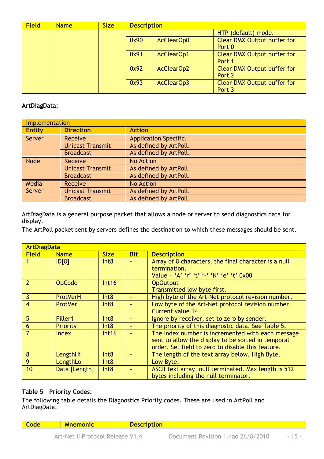| <b>Field</b> | <b>Name</b> | <b>Size</b> | <b>Description</b> |            |                                              |
|--------------|-------------|-------------|--------------------|------------|----------------------------------------------|
|              |             |             |                    |            | HTP (default) mode.                          |
|              |             |             | 0x90               | AcClearOp0 | <b>Clear DMX Output buffer for</b><br>Port 0 |
|              |             |             | 0x91               | AcClearOp1 | <b>Clear DMX Output buffer for</b><br>Port 1 |
|              |             |             | 0x92               | AcClearOp2 | <b>Clear DMX Output buffer for</b><br>Port 2 |
|              |             |             | 0x93               | AcClearOp3 | <b>Clear DMX Output buffer for</b><br>Port 3 |

#### **ArtDiagData:**

|               | Implementation          |                              |  |  |  |
|---------------|-------------------------|------------------------------|--|--|--|
| <b>Entity</b> | <b>Direction</b>        | <b>Action</b>                |  |  |  |
| Server        | Receive                 | <b>Application Specific.</b> |  |  |  |
|               | <b>Unicast Transmit</b> | As defined by ArtPoll.       |  |  |  |
|               | <b>Broadcast</b>        | As defined by ArtPoll.       |  |  |  |
| <b>Node</b>   | Receive                 | No Action                    |  |  |  |
|               | <b>Unicast Transmit</b> | As defined by ArtPoll.       |  |  |  |
|               | <b>Broadcast</b>        | As defined by ArtPoll.       |  |  |  |
| Media         | Receive                 | No Action                    |  |  |  |
| Server        | <b>Unicast Transmit</b> | As defined by ArtPoll.       |  |  |  |
|               | <b>Broadcast</b>        | As defined by ArtPoll.       |  |  |  |

ArtDiagData is a general purpose packet that allows a node or server to send diagnostics data for display.

The ArtPoll packet sent by servers defines the destination to which these messages should be sent.

|               | <b>ArtDiagData</b> |                  |            |                                                      |  |
|---------------|--------------------|------------------|------------|------------------------------------------------------|--|
| <b>Field</b>  | <b>Name</b>        | <b>Size</b>      | <b>Bit</b> | <b>Description</b>                                   |  |
|               | ID[8]              | Int8             |            | Array of 8 characters, the final character is a null |  |
|               |                    |                  |            | termination.                                         |  |
|               |                    |                  |            | Value = 'A' 'r' 't' '-' 'N' 'e' 't' 0x00             |  |
| $\mathcal{P}$ | <b>OpCode</b>      | Int16            |            | <b>OpOutput</b>                                      |  |
|               |                    |                  |            | Transmitted low byte first.                          |  |
| 3             | <b>ProtVerH</b>    | Int8             |            | High byte of the Art-Net protocol revision number.   |  |
| 4             | <b>ProtVer</b>     | Int8             |            | Low byte of the Art-Net protocol revision number.    |  |
|               |                    |                  |            | Current value 14                                     |  |
| 5             | Filler1            | Int8             |            | Ignore by receiver, set to zero by sender.           |  |
| 6             | <b>Priority</b>    | Int8             |            | The priority of this diagnostic data. See Table 5.   |  |
|               | Index              | Int16            |            | The Index number is incremented with each message    |  |
|               |                    |                  |            | sent to allow the display to be sorted in temporal   |  |
|               |                    |                  |            | order. Set field to zero to disable this feature.    |  |
| 8             | LengthHi           | Int <sub>8</sub> |            | The length of the text array below. High Byte.       |  |
| 9             | LengthLo           | Int <sub>8</sub> |            | Low Byte.                                            |  |
| 10            | Data [Length]      | Int8             |            | ASCII text array, null terminated. Max length is 512 |  |
|               |                    |                  |            | bytes including the null terminator.                 |  |

#### **Table 5 – Priority Codes:**

The following table details the Diagnostics Priority codes. These are used in ArtPoll and ArtDiagData.

**Code Mnemonic Bescription**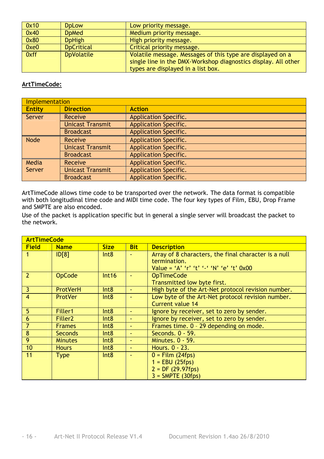| 0x10 | <b>D</b> <sub>D</sub> L <sub>ow</sub> | Low priority message.                                                                                                                                              |
|------|---------------------------------------|--------------------------------------------------------------------------------------------------------------------------------------------------------------------|
| 0x40 | <b>D</b> <sub>D</sub> Med             | Medium priority message.                                                                                                                                           |
| 0x80 | <b>DpHigh</b>                         | High priority message.                                                                                                                                             |
| 0xe0 | <b>D</b> pCritical                    | Critical priority message.                                                                                                                                         |
| 0xff | <b>DpVolatile</b>                     | Volatile message. Messages of this type are displayed on a<br>single line in the DMX-Workshop diagnostics display. All other<br>types are displayed in a list box. |

#### **ArtTimeCode:**

|               | <b>Implementation</b>   |                              |  |  |  |
|---------------|-------------------------|------------------------------|--|--|--|
| <b>Entity</b> | <b>Direction</b>        | <b>Action</b>                |  |  |  |
| Server        | Receive                 | <b>Application Specific.</b> |  |  |  |
|               | <b>Unicast Transmit</b> | <b>Application Specific.</b> |  |  |  |
|               | <b>Broadcast</b>        | <b>Application Specific.</b> |  |  |  |
| <b>Node</b>   | Receive                 | <b>Application Specific.</b> |  |  |  |
|               | <b>Unicast Transmit</b> | <b>Application Specific.</b> |  |  |  |
|               | <b>Broadcast</b>        | <b>Application Specific.</b> |  |  |  |
| Media         | Receive                 | <b>Application Specific.</b> |  |  |  |
| Server        | <b>Unicast Transmit</b> | <b>Application Specific.</b> |  |  |  |
|               | <b>Broadcast</b>        | <b>Application Specific.</b> |  |  |  |

ArtTimeCode allows time code to be transported over the network. The data format is compatible with both longitudinal time code and MIDI time code. The four key types of Film, EBU, Drop Frame and SMPTE are also encoded.

Use of the packet is application specific but in general a single server will broadcast the packet to the network.

|                | <b>ArtTimeCode</b>  |             |                |                                                      |  |
|----------------|---------------------|-------------|----------------|------------------------------------------------------|--|
| <b>Field</b>   | <b>Name</b>         | <b>Size</b> | <b>Bit</b>     | <b>Description</b>                                   |  |
|                | ID[8]               | Int8        |                | Array of 8 characters, the final character is a null |  |
|                |                     |             |                | termination.                                         |  |
|                |                     |             |                | Value = 'A' 'r' 't' '-' 'N' 'e' 't' 0x00             |  |
| $\mathcal{P}$  | <b>OpCode</b>       | Int16       |                | <b>OpTimeCode</b>                                    |  |
|                |                     |             |                | Transmitted low byte first.                          |  |
| 3              | ProtVerH            | Int8        | $\sim$         | High byte of the Art-Net protocol revision number.   |  |
| $\overline{4}$ | <b>ProtVer</b>      | Int8        |                | Low byte of the Art-Net protocol revision number.    |  |
|                |                     |             |                | Current value 14                                     |  |
| 5              | Filler1             | Int8        | $\sim$         | Ignore by receiver, set to zero by sender.           |  |
| 6              | Filler <sub>2</sub> | Int8        | $\sim$         | Ignore by receiver, set to zero by sender.           |  |
| $\overline{7}$ | <b>Frames</b>       | Int8        | $\sim$         | Frames time. 0 - 29 depending on mode.               |  |
| 8              | <b>Seconds</b>      | Int8        | $\blacksquare$ | Seconds. 0 - 59.                                     |  |
| 9              | <b>Minutes</b>      | Int8        | $\sim$         | Minutes. 0 - 59.                                     |  |
| 10             | <b>Hours</b>        | Int8        | $\sim$         | Hours. 0 - 23.                                       |  |
| 11             | <b>Type</b>         | Int8        | $\blacksquare$ | $0 =$ Film (24fps)                                   |  |
|                |                     |             |                | $1 = EBU(25fps)$                                     |  |
|                |                     |             |                | $2 = DF (29.97fps)$                                  |  |
|                |                     |             |                | $3 = SMPTE (30fps)$                                  |  |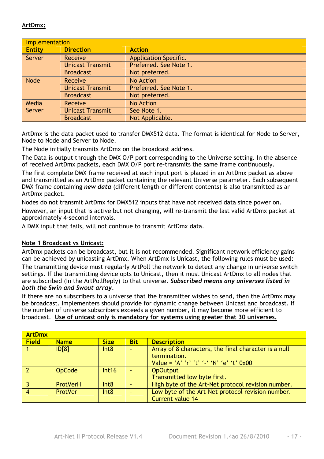#### **ArtDmx:**

|               | <b>Implementation</b>   |                              |  |  |  |
|---------------|-------------------------|------------------------------|--|--|--|
| <b>Entity</b> | <b>Direction</b>        | <b>Action</b>                |  |  |  |
| Server        | Receive                 | <b>Application Specific.</b> |  |  |  |
|               | <b>Unicast Transmit</b> | Preferred. See Note 1.       |  |  |  |
|               | <b>Broadcast</b>        | Not preferred.               |  |  |  |
| <b>Node</b>   | Receive                 | No Action                    |  |  |  |
|               | <b>Unicast Transmit</b> | Preferred. See Note 1.       |  |  |  |
|               | <b>Broadcast</b>        | Not preferred.               |  |  |  |
| Media         | Receive                 | No Action                    |  |  |  |
| Server        | <b>Unicast Transmit</b> | See Note 1.                  |  |  |  |
|               | <b>Broadcast</b>        | Not Applicable.              |  |  |  |

ArtDmx is the data packet used to transfer DMX512 data. The format is identical for Node to Server, Node to Node and Server to Node.

The Node initially transmits ArtDmx on the broadcast address.

The Data is output through the DMX O/P port corresponding to the Universe setting. In the absence of received ArtDmx packets, each DMX O/P port re-transmits the same frame continuously.

The first complete DMX frame received at each input port is placed in an ArtDmx packet as above and transmitted as an ArtDmx packet containing the relevant Universe parameter. Each subsequent DMX frame containing *new data* (different length or different contents) is also transmitted as an ArtDmx packet.

Nodes do not transmit ArtDmx for DMX512 inputs that have not received data since power on. However, an input that is active but not changing, will re-transmit the last valid ArtDmx packet at approximately 4-second intervals.

A DMX input that fails, will not continue to transmit ArtDmx data.

#### **Note 1 Broadcast vs Unicast:**

ArtDmx packets can be broadcast, but it is not recommended. Significant network efficiency gains can be achieved by unicasting ArtDmx. When ArtDmx is Unicast, the following rules must be used:

The transmitting device must regularly ArtPoll the network to detect any change in universe switch settings. If the transmitting device opts to Unicast, then it must Unicast ArtDmx to all nodes that are subscribed (In the ArtPollReply) to that universe. *Subscribed means any universes listed in both the Swin and Swout array.* 

If there are no subscribers to a universe that the transmitter wishes to send, then the ArtDmx may be broadcast. Implementers should provide for dynamic change between Unicast and broadcast. If the number of universe subscribers exceeds a given number, it may become more efficient to broadcast. **Use of unicast only is mandatory for systems using greater that 30 universes.**

| <b>ArtDmx</b> |             |             |            |                                                                                                                  |
|---------------|-------------|-------------|------------|------------------------------------------------------------------------------------------------------------------|
| <b>Field</b>  | <b>Name</b> | <b>Size</b> | <b>Bit</b> | <b>Description</b>                                                                                               |
|               | ID[8]       | Int8        |            | Array of 8 characters, the final character is a null<br>termination.<br>Value = 'A' 'r' 't' '-' 'N' 'e' 't' 0x00 |
|               | OpCode      | Int16       |            | <b>OpOutput</b><br>Transmitted low byte first.                                                                   |
|               | ProtVerH    | Int8        |            | High byte of the Art-Net protocol revision number.                                                               |
|               | ProtVer     | Int8        |            | Low byte of the Art-Net protocol revision number.<br><b>Current value 14</b>                                     |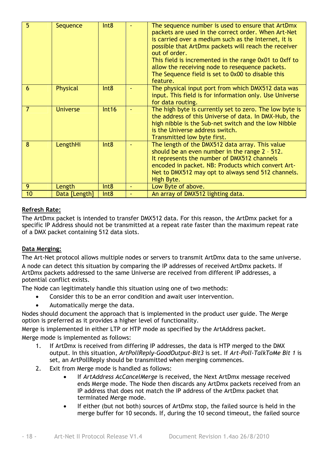| $\overline{5}$ | Sequence        | Int <sub>8</sub> | The sequence number is used to ensure that ArtDmx<br>packets are used in the correct order. When Art-Net<br>is carried over a medium such as the Internet, it is<br>possible that ArtDmx packets will reach the receiver<br>out of order.<br>This field is incremented in the range 0x01 to 0xff to<br>allow the receiving node to resequence packets.<br>The Sequence field is set to 0x00 to disable this<br>feature. |
|----------------|-----------------|------------------|-------------------------------------------------------------------------------------------------------------------------------------------------------------------------------------------------------------------------------------------------------------------------------------------------------------------------------------------------------------------------------------------------------------------------|
| 6              | Physical        | Int8             | The physical input port from which DMX512 data was<br>input. This field is for information only. Use Universe<br>for data routing.                                                                                                                                                                                                                                                                                      |
| 7              | <b>Universe</b> | Int16            | The high byte is currently set to zero. The low byte is<br>the address of this Universe of data. In DMX-Hub, the<br>high nibble is the Sub-net switch and the low Nibble<br>is the Universe address switch.<br>Transmitted low byte first.                                                                                                                                                                              |
| 8              | LengthHi        | Int8             | The length of the DMX512 data array. This value<br>should be an even number in the range $2 - 512$ .<br>It represents the number of DMX512 channels<br>encoded in packet. NB: Products which convert Art-<br>Net to DMX512 may opt to always send 512 channels.<br>High Byte.                                                                                                                                           |
| 9              | Length          | Int8             | Low Byte of above.                                                                                                                                                                                                                                                                                                                                                                                                      |
| 10             | Data [Length]   | Int <sub>8</sub> | An array of DMX512 lighting data.                                                                                                                                                                                                                                                                                                                                                                                       |

#### **Refresh Rate:**

The ArtDmx packet is intended to transfer DMX512 data. For this reason, the ArtDmx packet for a specific IP Address should not be transmitted at a repeat rate faster than the maximum repeat rate of a DMX packet containing 512 data slots.

#### **Data Merging:**

The Art-Net protocol allows multiple nodes or servers to transmit ArtDmx data to the same universe. A node can detect this situation by comparing the IP addresses of received ArtDmx packets. If ArtDmx packets addressed to the same Universe are received from different IP addresses, a potential conflict exists.

The Node can legitimately handle this situation using one of two methods:

- Consider this to be an error condition and await user intervention.
- Automatically merge the data.

Nodes should document the approach that is implemented in the product user guide. The Merge option is preferred as it provides a higher level of functionality.

Merge is implemented in either LTP or HTP mode as specified by the ArtAddress packet.

Merge mode is implemented as follows:

- 1. If ArtDmx is received from differing IP addresses, the data is HTP merged to the DMX output. In this situation, *ArtPollReply-GoodOutput-Bit3* is set. If *Art-Poll-TalkToMe Bit 1* is set, an ArtPollReply should be transmitted when merging commences.
- 2. Exit from Merge mode is handled as follows:
	- If *ArtAddress AcCancelMerge* is received, the Next ArtDmx message received ends Merge mode. The Node then discards any ArtDmx packets received from an IP address that does not match the IP address of the ArtDmx packet that terminated Merge mode.
	- If either (but not both) sources of ArtDmx stop, the failed source is held in the merge buffer for 10 seconds. If, during the 10 second timeout, the failed source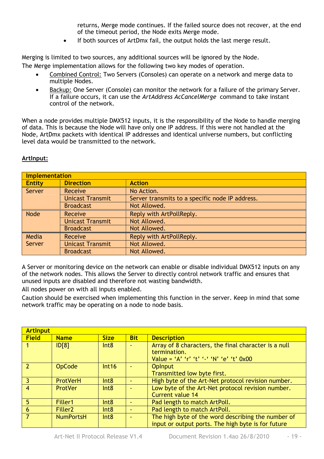returns, Merge mode continues. If the failed source does not recover, at the end of the timeout period, the Node exits Merge mode.

• If both sources of ArtDmx fail, the output holds the last merge result.

Merging is limited to two sources, any additional sources will be ignored by the Node. The Merge implementation allows for the following two key modes of operation.

- Combined Control: Two Servers (Consoles) can operate on a network and merge data to multiple Nodes.
- Backup: One Server (Console) can monitor the network for a failure of the primary Server. If a failure occurs, it can use the *ArtAddress AcCancelMerge* command to take instant control of the network.

When a node provides multiple DMX512 inputs, it is the responsibility of the Node to handle merging of data. This is because the Node will have only one IP address. If this were not handled at the Node, ArtDmx packets with identical IP addresses and identical universe numbers, but conflicting level data would be transmitted to the network.

| ArtInput: |
|-----------|
|-----------|

|               | <b>Implementation</b>   |                                                 |  |  |
|---------------|-------------------------|-------------------------------------------------|--|--|
| <b>Entity</b> | <b>Direction</b>        | <b>Action</b>                                   |  |  |
| Server        | Receive                 | No Action.                                      |  |  |
|               | <b>Unicast Transmit</b> | Server transmits to a specific node IP address. |  |  |
|               | <b>Broadcast</b>        | Not Allowed.                                    |  |  |
| <b>Node</b>   | Receive                 | Reply with ArtPollReply.                        |  |  |
|               | <b>Unicast Transmit</b> | Not Allowed.                                    |  |  |
|               | <b>Broadcast</b>        | Not Allowed.                                    |  |  |
| Media         | Receive                 | Reply with ArtPollReply.                        |  |  |
| Server        | <b>Unicast Transmit</b> | Not Allowed.                                    |  |  |
|               | <b>Broadcast</b>        | Not Allowed.                                    |  |  |

A Server or monitoring device on the network can enable or disable individual DMX512 inputs on any of the network nodes. This allows the Server to directly control network traffic and ensures that unused inputs are disabled and therefore not wasting bandwidth.

All nodes power on with all inputs enabled.

Caution should be exercised when implementing this function in the server. Keep in mind that some network traffic may be operating on a node to node basis.

| <b>Artinput</b> |                     |             |            |                                                                                                                  |
|-----------------|---------------------|-------------|------------|------------------------------------------------------------------------------------------------------------------|
| <b>Field</b>    | <b>Name</b>         | <b>Size</b> | <b>Bit</b> | <b>Description</b>                                                                                               |
|                 | ID[8]               | Int8        |            | Array of 8 characters, the final character is a null<br>termination.<br>Value = 'A' 'r' 't' '-' 'N' 'e' 't' 0x00 |
|                 | <b>OpCode</b>       | Int16       |            | <b>OpInput</b><br>Transmitted low byte first.                                                                    |
| -3              | <b>ProtVerH</b>     | Int8        |            | High byte of the Art-Net protocol revision number.                                                               |
| $\overline{4}$  | ProtVer             | Int8        |            | Low byte of the Art-Net protocol revision number.<br>Current value 14                                            |
| 5               | Filler1             | Int8        |            | Pad length to match ArtPoll.                                                                                     |
| 6               | Filler <sub>2</sub> | Int8        |            | Pad length to match ArtPoll.                                                                                     |
|                 | <b>NumPortsH</b>    | Int8        |            | The high byte of the word describing the number of<br>input or output ports. The high byte is for future         |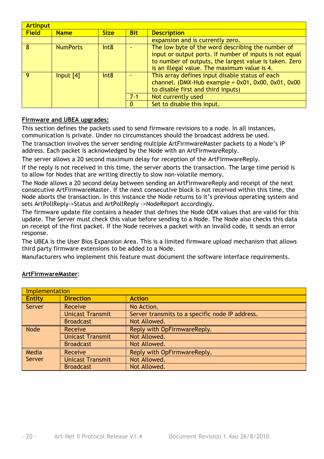|              | <b>Artinput</b> |             |            |                                                                                                                                                                                                                        |
|--------------|-----------------|-------------|------------|------------------------------------------------------------------------------------------------------------------------------------------------------------------------------------------------------------------------|
| <b>Field</b> | <b>Name</b>     | <b>Size</b> | <b>Bit</b> | <b>Description</b>                                                                                                                                                                                                     |
|              |                 |             |            | expansion and is currently zero.                                                                                                                                                                                       |
| $\mathbf{R}$ | <b>NumPorts</b> | Int8        |            | The low byte of the word describing the number of<br>input or output ports. If number of inputs is not equal<br>to number of outputs, the largest value is taken. Zero<br>is an illegal value. The maximum value is 4. |
| $\Omega$     | Input $[4]$     | Int8        | $7 - 1$    | This array defines input disable status of each<br>channel. (DMX-Hub example = $0x01$ , $0x00$ , $0x01$ , $0x00$<br>to disable first and third inputs)<br>Not currently used<br>Set to disable this input.             |

#### **Firmware and UBEA upgrades:**

This section defines the packets used to send firmware revisions to a node. In all instances, communication is private. Under no circumstances should the broadcast address be used.

The transaction involves the server sending multiple ArtFirmwareMaster packets to a Node's IP address. Each packet is acknowledged by the Node with an ArtFirmwareReply.

The server allows a 20 second maximum delay for reception of the ArtFirmwareReply.

If the reply is not received in this time, the server aborts the transaction. The large time period is to allow for Nodes that are writing directly to slow non-volatile memory.

The Node allows a 20 second delay between sending an ArtFirmwareReply and receipt of the next consecutive ArtFirmwareMaster. If the next consecutive block is not received within this time, the Node aborts the transaction. In this instance the Node returns to it's previous operating system and sets ArtPollReply->Status and ArtPollReply ->NodeReport accordingly.

The firmware update file contains a header that defines the Node OEM values that are valid for this update. The Server must check this value before sending to a Node. The Node also checks this data on receipt of the first packet. If the Node receives a packet with an invalid code, it sends an error response.

The UBEA is the User Bios Expansion Area. This is a limited firmware upload mechanism that allows third party firmware extensions to be added to a Node.

Manufacturers who implement this feature must document the software interface requirements.

| Implementation |                         |                                                 |  |  |
|----------------|-------------------------|-------------------------------------------------|--|--|
| <b>Entity</b>  | <b>Direction</b>        | <b>Action</b>                                   |  |  |
| Server         | Receive                 | No Action.                                      |  |  |
|                | <b>Unicast Transmit</b> | Server transmits to a specific node IP address. |  |  |
|                | <b>Broadcast</b>        | Not Allowed.                                    |  |  |
| <b>Node</b>    | Receive                 | Reply with OpFirmwareReply.                     |  |  |
|                | <b>Unicast Transmit</b> | Not Allowed.                                    |  |  |
|                | <b>Broadcast</b>        | Not Allowed.                                    |  |  |
| Media          | Receive                 | Reply with OpFirmwareReply.                     |  |  |
| Server         | <b>Unicast Transmit</b> | Not Allowed.                                    |  |  |
|                | <b>Broadcast</b>        | Not Allowed.                                    |  |  |

#### **ArtFirmwareMaster**: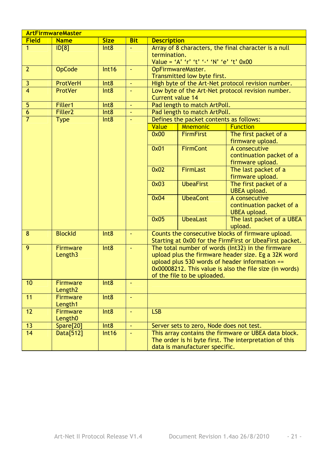| <b>Size</b><br><b>Field</b><br><b>Name</b><br><b>Bit</b><br><b>Description</b><br>Array of 8 characters, the final character is a null<br>$\mathbf{1}$<br>$\overline{ID[8]}$<br>Int8<br>ä,<br>termination.<br>Value = 'A' 'r' 't' '-' 'N' 'e' 't' 0x00<br>$\overline{2}$<br><b>OpCode</b><br>Int16<br>OpFirmwareMaster.<br>$\Box$<br>Transmitted low byte first.<br>$\overline{3}$<br>ProtVerH<br>Int8<br>High byte of the Art-Net protocol revision number.<br>ä,<br>$\overline{4}$<br><b>ProtVer</b><br>Low byte of the Art-Net protocol revision number.<br>Int8<br>ä,<br>Current value 14<br>$\overline{5}$<br>Pad length to match ArtPoll.<br>Filler1<br>Int8<br>$\omega$<br>$\overline{6}$<br>Filler <sub>2</sub><br>Int8<br>Pad length to match ArtPoll.<br>$\overline{7}$<br><b>Type</b><br>Int8<br>Defines the packet contents as follows:<br>$\blacksquare$<br>Value<br><b>Mnemonic</b><br><b>Function</b> |
|----------------------------------------------------------------------------------------------------------------------------------------------------------------------------------------------------------------------------------------------------------------------------------------------------------------------------------------------------------------------------------------------------------------------------------------------------------------------------------------------------------------------------------------------------------------------------------------------------------------------------------------------------------------------------------------------------------------------------------------------------------------------------------------------------------------------------------------------------------------------------------------------------------------------|
|                                                                                                                                                                                                                                                                                                                                                                                                                                                                                                                                                                                                                                                                                                                                                                                                                                                                                                                      |
|                                                                                                                                                                                                                                                                                                                                                                                                                                                                                                                                                                                                                                                                                                                                                                                                                                                                                                                      |
|                                                                                                                                                                                                                                                                                                                                                                                                                                                                                                                                                                                                                                                                                                                                                                                                                                                                                                                      |
|                                                                                                                                                                                                                                                                                                                                                                                                                                                                                                                                                                                                                                                                                                                                                                                                                                                                                                                      |
|                                                                                                                                                                                                                                                                                                                                                                                                                                                                                                                                                                                                                                                                                                                                                                                                                                                                                                                      |
|                                                                                                                                                                                                                                                                                                                                                                                                                                                                                                                                                                                                                                                                                                                                                                                                                                                                                                                      |
|                                                                                                                                                                                                                                                                                                                                                                                                                                                                                                                                                                                                                                                                                                                                                                                                                                                                                                                      |
|                                                                                                                                                                                                                                                                                                                                                                                                                                                                                                                                                                                                                                                                                                                                                                                                                                                                                                                      |
|                                                                                                                                                                                                                                                                                                                                                                                                                                                                                                                                                                                                                                                                                                                                                                                                                                                                                                                      |
|                                                                                                                                                                                                                                                                                                                                                                                                                                                                                                                                                                                                                                                                                                                                                                                                                                                                                                                      |
|                                                                                                                                                                                                                                                                                                                                                                                                                                                                                                                                                                                                                                                                                                                                                                                                                                                                                                                      |
|                                                                                                                                                                                                                                                                                                                                                                                                                                                                                                                                                                                                                                                                                                                                                                                                                                                                                                                      |
|                                                                                                                                                                                                                                                                                                                                                                                                                                                                                                                                                                                                                                                                                                                                                                                                                                                                                                                      |
| 0x00<br><b>FirmFirst</b><br>The first packet of a                                                                                                                                                                                                                                                                                                                                                                                                                                                                                                                                                                                                                                                                                                                                                                                                                                                                    |
| firmware upload.                                                                                                                                                                                                                                                                                                                                                                                                                                                                                                                                                                                                                                                                                                                                                                                                                                                                                                     |
| <b>FirmCont</b><br>0x01<br>A consecutive                                                                                                                                                                                                                                                                                                                                                                                                                                                                                                                                                                                                                                                                                                                                                                                                                                                                             |
| continuation packet of a                                                                                                                                                                                                                                                                                                                                                                                                                                                                                                                                                                                                                                                                                                                                                                                                                                                                                             |
| firmware upload.                                                                                                                                                                                                                                                                                                                                                                                                                                                                                                                                                                                                                                                                                                                                                                                                                                                                                                     |
| 0x02<br><b>FirmLast</b><br>The last packet of a                                                                                                                                                                                                                                                                                                                                                                                                                                                                                                                                                                                                                                                                                                                                                                                                                                                                      |
| firmware upload.                                                                                                                                                                                                                                                                                                                                                                                                                                                                                                                                                                                                                                                                                                                                                                                                                                                                                                     |
| 0x03<br><b>UbeaFirst</b><br>The first packet of a                                                                                                                                                                                                                                                                                                                                                                                                                                                                                                                                                                                                                                                                                                                                                                                                                                                                    |
| <b>UBEA</b> upload.                                                                                                                                                                                                                                                                                                                                                                                                                                                                                                                                                                                                                                                                                                                                                                                                                                                                                                  |
| <b>UbeaCont</b><br>0x04<br>A consecutive                                                                                                                                                                                                                                                                                                                                                                                                                                                                                                                                                                                                                                                                                                                                                                                                                                                                             |
| continuation packet of a                                                                                                                                                                                                                                                                                                                                                                                                                                                                                                                                                                                                                                                                                                                                                                                                                                                                                             |
| <b>UBEA</b> upload.                                                                                                                                                                                                                                                                                                                                                                                                                                                                                                                                                                                                                                                                                                                                                                                                                                                                                                  |
| 0x05<br><b>UbeaLast</b><br>The last packet of a UBEA                                                                                                                                                                                                                                                                                                                                                                                                                                                                                                                                                                                                                                                                                                                                                                                                                                                                 |
| upload.                                                                                                                                                                                                                                                                                                                                                                                                                                                                                                                                                                                                                                                                                                                                                                                                                                                                                                              |
| $\overline{8}$<br><b>BlockId</b><br>Counts the consecutive blocks of firmware upload.<br>Int8<br>$\omega$                                                                                                                                                                                                                                                                                                                                                                                                                                                                                                                                                                                                                                                                                                                                                                                                            |
| Starting at 0x00 for the FirmFirst or UbeaFirst packet.                                                                                                                                                                                                                                                                                                                                                                                                                                                                                                                                                                                                                                                                                                                                                                                                                                                              |
| 9<br>Int8<br>The total number of words (Int32) in the firmware<br><b>Firmware</b><br>$\omega$                                                                                                                                                                                                                                                                                                                                                                                                                                                                                                                                                                                                                                                                                                                                                                                                                        |
| Length <sub>3</sub><br>upload plus the firmware header size. Eg a 32K word                                                                                                                                                                                                                                                                                                                                                                                                                                                                                                                                                                                                                                                                                                                                                                                                                                           |
| upload plus 530 words of header information $==$                                                                                                                                                                                                                                                                                                                                                                                                                                                                                                                                                                                                                                                                                                                                                                                                                                                                     |
| 0x00008212. This value is also the file size (in words)                                                                                                                                                                                                                                                                                                                                                                                                                                                                                                                                                                                                                                                                                                                                                                                                                                                              |
| of the file to be uploaded.<br>10<br><b>Firmware</b><br>Int8<br>ä,                                                                                                                                                                                                                                                                                                                                                                                                                                                                                                                                                                                                                                                                                                                                                                                                                                                   |
| Length <sub>2</sub>                                                                                                                                                                                                                                                                                                                                                                                                                                                                                                                                                                                                                                                                                                                                                                                                                                                                                                  |
| 11<br><b>Firmware</b><br>Int8<br>$\omega$                                                                                                                                                                                                                                                                                                                                                                                                                                                                                                                                                                                                                                                                                                                                                                                                                                                                            |
| Length1                                                                                                                                                                                                                                                                                                                                                                                                                                                                                                                                                                                                                                                                                                                                                                                                                                                                                                              |
| $\overline{12}$<br>Int8<br><b>LSB</b><br><b>Firmware</b><br>ä,                                                                                                                                                                                                                                                                                                                                                                                                                                                                                                                                                                                                                                                                                                                                                                                                                                                       |
| Length <sub>0</sub>                                                                                                                                                                                                                                                                                                                                                                                                                                                                                                                                                                                                                                                                                                                                                                                                                                                                                                  |
| Spare[20]<br>Int8<br>13<br>ä,<br>Server sets to zero, Node does not test.                                                                                                                                                                                                                                                                                                                                                                                                                                                                                                                                                                                                                                                                                                                                                                                                                                            |
| 14<br>Data[512]<br>Int16<br>This array contains the firmware or UBEA data block.                                                                                                                                                                                                                                                                                                                                                                                                                                                                                                                                                                                                                                                                                                                                                                                                                                     |
| The order is hi byte first. The interpretation of this                                                                                                                                                                                                                                                                                                                                                                                                                                                                                                                                                                                                                                                                                                                                                                                                                                                               |
| data is manufacturer specific.                                                                                                                                                                                                                                                                                                                                                                                                                                                                                                                                                                                                                                                                                                                                                                                                                                                                                       |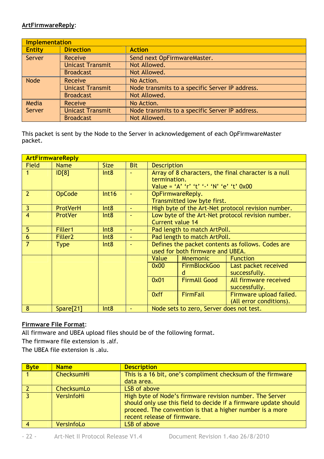#### **ArtFirmwareReply**:

|               | <b>Implementation</b>   |                                                 |  |  |  |
|---------------|-------------------------|-------------------------------------------------|--|--|--|
| <b>Entity</b> | <b>Direction</b>        | <b>Action</b>                                   |  |  |  |
| Server        | Receive                 | Send next OpFirmwareMaster.                     |  |  |  |
|               | <b>Unicast Transmit</b> | Not Allowed.                                    |  |  |  |
|               | <b>Broadcast</b>        | Not Allowed.                                    |  |  |  |
| Node          | Receive                 | No Action.                                      |  |  |  |
|               | <b>Unicast Transmit</b> | Node transmits to a specific Server IP address. |  |  |  |
|               | <b>Broadcast</b>        | Not Allowed.                                    |  |  |  |
| Media         | Receive                 | No Action.                                      |  |  |  |
| Server        | <b>Unicast Transmit</b> | Node transmits to a specific Server IP address. |  |  |  |
|               | <b>Broadcast</b>        | Not Allowed.                                    |  |  |  |

This packet is sent by the Node to the Server in acknowledgement of each OpFirmwareMaster packet.

|                | <b>ArtFirmwareReply</b> |                  |            |                                                   |                                          |                                                      |  |
|----------------|-------------------------|------------------|------------|---------------------------------------------------|------------------------------------------|------------------------------------------------------|--|
| <b>Field</b>   | Name                    | <b>Size</b>      | <b>Bit</b> |                                                   | <b>Description</b>                       |                                                      |  |
|                | ID[8]                   | Int8             |            |                                                   |                                          | Array of 8 characters, the final character is a null |  |
|                |                         |                  |            | termination.                                      |                                          |                                                      |  |
|                |                         |                  |            |                                                   | Value = 'A' 'r' 't' '-' 'N' 'e' 't' 0x00 |                                                      |  |
| $\overline{2}$ | <b>OpCode</b>           | Int16            |            |                                                   | OpFirmwareReply.                         |                                                      |  |
|                |                         |                  |            |                                                   | Transmitted low byte first.              |                                                      |  |
| 3              | ProtVerH                | Int8             |            |                                                   |                                          | High byte of the Art-Net protocol revision number.   |  |
| $\overline{4}$ | <b>ProtVer</b>          | Int8             |            |                                                   |                                          | Low byte of the Art-Net protocol revision number.    |  |
|                |                         |                  |            | <b>Current value 14</b>                           |                                          |                                                      |  |
| 5              | Filler1                 | Int8             | $\sim$     | Pad length to match ArtPoll.                      |                                          |                                                      |  |
| 6              | Filler <sub>2</sub>     | Int8             |            | Pad length to match ArtPoll.                      |                                          |                                                      |  |
| $\overline{7}$ | <b>Type</b>             | Int8             |            | Defines the packet contents as follows. Codes are |                                          |                                                      |  |
|                |                         |                  |            |                                                   | used for both firmware and UBEA.         |                                                      |  |
|                |                         |                  |            | Value                                             | <b>Mnemonic</b>                          | <b>Function</b>                                      |  |
|                |                         |                  |            | 0x00                                              | <b>FirmBlockGoo</b>                      | Last packet received                                 |  |
|                |                         |                  |            |                                                   | d                                        | successfully.                                        |  |
|                |                         |                  |            | 0x01                                              | <b>FirmAll Good</b>                      | All firmware received                                |  |
|                |                         |                  |            |                                                   |                                          | successfully.                                        |  |
|                |                         |                  |            | 0xff                                              | <b>FirmFail</b>                          | Firmware upload failed.                              |  |
|                |                         |                  |            |                                                   |                                          | (All error conditions).                              |  |
| 8              | Spare[21]               | Int <sub>8</sub> |            |                                                   | Node sets to zero, Server does not test. |                                                      |  |

#### **Firmware File Format**:

All firmware and UBEA upload files should be of the following format.

The firmware file extension is .alf.

The UBEA file extension is .alu.

| <b>Byte</b> | <b>Name</b>       | <b>Description</b>                                                                                                                                                                                                       |
|-------------|-------------------|--------------------------------------------------------------------------------------------------------------------------------------------------------------------------------------------------------------------------|
|             | <b>ChecksumHi</b> | This is a 16 bit, one's compliment checksum of the firmware                                                                                                                                                              |
|             |                   | data area.                                                                                                                                                                                                               |
|             | ChecksumLo        | LSB of above                                                                                                                                                                                                             |
| । २         | VersInfoHi        | High byte of Node's firmware revision number. The Server<br>should only use this field to decide if a firmware update should<br>proceed. The convention is that a higher number is a more<br>recent release of firmware. |
|             | VersInfoLo        | LSB of above                                                                                                                                                                                                             |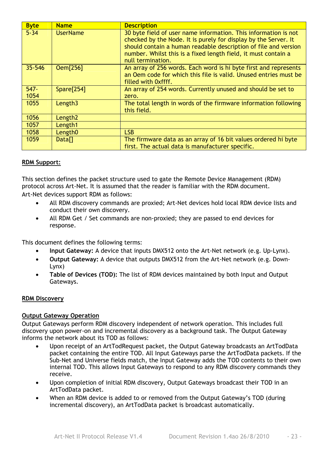| <b>Byte</b>     | <b>Name</b>         | <b>Description</b>                                                                                                                                                                                                                                                                           |
|-----------------|---------------------|----------------------------------------------------------------------------------------------------------------------------------------------------------------------------------------------------------------------------------------------------------------------------------------------|
| $5 - 34$        | <b>UserName</b>     | 30 byte field of user name information. This information is not<br>checked by the Node. It is purely for display by the Server. It<br>should contain a human readable description of file and version<br>number. Whilst this is a fixed length field, it must contain a<br>null termination. |
| 35-546          | 0em[256]            | An array of 256 words. Each word is hi byte first and represents<br>an Oem code for which this file is valid. Unused entries must be<br>filled with 0xffff.                                                                                                                                  |
| $547 -$<br>1054 | Spare[254]          | An array of 254 words. Currently unused and should be set to<br>zero.                                                                                                                                                                                                                        |
| 1055            | Length <sub>3</sub> | The total length in words of the firmware information following<br>this field.                                                                                                                                                                                                               |
| 1056            | Length <sub>2</sub> |                                                                                                                                                                                                                                                                                              |
| 1057            | Length1             |                                                                                                                                                                                                                                                                                              |
| 1058            | Length <sub>0</sub> | LSB                                                                                                                                                                                                                                                                                          |
| 1059            | Data <sub>[]</sub>  | The firmware data as an array of 16 bit values ordered hi byte<br>first. The actual data is manufacturer specific.                                                                                                                                                                           |

#### **RDM Support:**

This section defines the packet structure used to gate the Remote Device Management (RDM) protocol across Art-Net. It is assumed that the reader is familiar with the RDM document. Art-Net devices support RDM as follows:

- All RDM discovery commands are proxied; Art-Net devices hold local RDM device lists and conduct their own discovery.
- All RDM Get / Set commands are non-proxied; they are passed to end devices for response.

This document defines the following terms:

- **Input Gateway:** A device that inputs DMX512 onto the Art-Net network (e.g. Up-Lynx).
- **Output Gateway:** A device that outputs DMX512 from the Art-Net network (e.g. Down-Lynx)
- **Table of Devices (TOD):** The list of RDM devices maintained by both Input and Output Gateways.

#### **RDM Discovery**

#### **Output Gateway Operation**

Output Gateways perform RDM discovery independent of network operation. This includes full discovery upon power-on and incremental discovery as a background task. The Output Gateway informs the network about its TOD as follows:

- Upon receipt of an ArtTodRequest packet, the Output Gateway broadcasts an ArtTodData packet containing the entire TOD. All Input Gateways parse the ArtTodData packets. If the Sub-Net and Universe fields match, the Input Gateway adds the TOD contents to their own internal TOD. This allows Input Gateways to respond to any RDM discovery commands they receive.
- Upon completion of initial RDM discovery, Output Gateways broadcast their TOD in an ArtTodData packet.
- When an RDM device is added to or removed from the Output Gateway's TOD (during incremental discovery), an ArtTodData packet is broadcast automatically.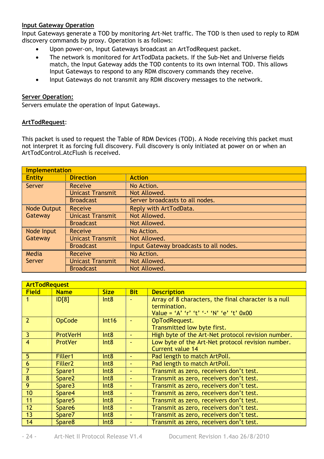#### **Input Gateway Operation**

Input Gateways generate a TOD by monitoring Art-Net traffic. The TOD is then used to reply to RDM discovery commands by proxy. Operation is as follows:

- Upon power-on, Input Gateways broadcast an ArtTodRequest packet.
- The network is monitored for ArtTodData packets. If the Sub-Net and Universe fields match, the Input Gateway adds the TOD contents to its own internal TOD. This allows Input Gateways to respond to any RDM discovery commands they receive.
- Input Gateways do not transmit any RDM discovery messages to the network.

#### **Server Operation:**

Servers emulate the operation of Input Gateways.

#### **ArtTodRequest**:

This packet is used to request the Table of RDM Devices (TOD). A Node receiving this packet must not interpret it as forcing full discovery. Full discovery is only initiated at power on or when an ArtTodControl.AtcFlush is received.

|                        | Implementation          |                                        |  |  |  |
|------------------------|-------------------------|----------------------------------------|--|--|--|
| <b>Entity</b>          | <b>Direction</b>        | <b>Action</b>                          |  |  |  |
| Server                 | Receive                 | No Action.                             |  |  |  |
|                        | <b>Unicast Transmit</b> | Not Allowed.                           |  |  |  |
|                        | <b>Broadcast</b>        | Server broadcasts to all nodes.        |  |  |  |
| Node Output<br>Gateway | Receive                 | Reply with ArtTodData.                 |  |  |  |
|                        | <b>Unicast Transmit</b> | Not Allowed.                           |  |  |  |
|                        | <b>Broadcast</b>        | Not Allowed.                           |  |  |  |
| Node Input             | Receive                 | No Action.                             |  |  |  |
| Gateway                | <b>Unicast Transmit</b> | Not Allowed.                           |  |  |  |
|                        | <b>Broadcast</b>        | Input Gateway broadcasts to all nodes. |  |  |  |
| Media                  | Receive                 | No Action.                             |  |  |  |
| Server                 | <b>Unicast Transmit</b> | Not Allowed.                           |  |  |  |
|                        | <b>Broadcast</b>        | Not Allowed.                           |  |  |  |

|                 | <b>ArtTodRequest</b> |             |                |                                                      |  |
|-----------------|----------------------|-------------|----------------|------------------------------------------------------|--|
| <b>Field</b>    | <b>Name</b>          | <b>Size</b> | <b>Bit</b>     | <b>Description</b>                                   |  |
|                 | ID[8]                | Int8        |                | Array of 8 characters, the final character is a null |  |
|                 |                      |             |                | termination.                                         |  |
|                 |                      |             |                | Value = 'A' 'r' 't' '-' 'N' 'e' 't' 0x00             |  |
| $\overline{2}$  | OpCode               | Int16       |                | OpTodRequest.                                        |  |
|                 |                      |             |                | Transmitted low byte first.                          |  |
| $\vert$ 3       | <b>ProtVerH</b>      | Int8        |                | High byte of the Art-Net protocol revision number.   |  |
| $\overline{4}$  | <b>ProtVer</b>       | Int8        |                | Low byte of the Art-Net protocol revision number.    |  |
|                 |                      |             |                | Current value 14                                     |  |
| 5               | Filler1              | Int8        | ٠              | Pad length to match ArtPoll.                         |  |
| $6\overline{6}$ | Filler <sub>2</sub>  | Int8        | ٠              | Pad length to match ArtPoll.                         |  |
| $\overline{7}$  | Spare1               | Int8        | $\blacksquare$ | Transmit as zero, receivers don't test.              |  |
| 8               | Spare <sub>2</sub>   | Int8        | $\blacksquare$ | Transmit as zero, receivers don't test.              |  |
| $\overline{9}$  | Spare3               | Int8        | ٠              | Transmit as zero, receivers don't test.              |  |
| 10              | Spare4               | Int8        | $\blacksquare$ | Transmit as zero, receivers don't test.              |  |
| $\vert$ 11      | Spare <sub>5</sub>   | Int8        | $\blacksquare$ | Transmit as zero, receivers don't test.              |  |
| 12              | Spare6               | Int8        | ٠              | Transmit as zero, receivers don't test.              |  |
| 13              | Spare7               | Int8        | ٠              | Transmit as zero, receivers don't test.              |  |
| 14              | Spare8               | Int8        |                | Transmit as zero, receivers don't test.              |  |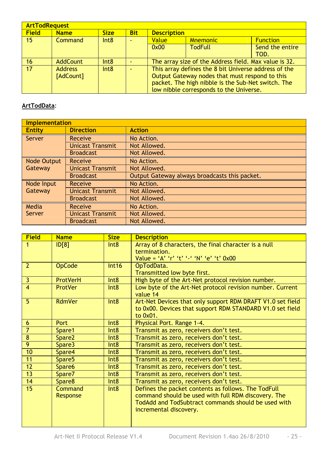|                 | <b>ArtTodRequest</b>        |             |                          |                    |                                                                                                                                                                                                         |                         |
|-----------------|-----------------------------|-------------|--------------------------|--------------------|---------------------------------------------------------------------------------------------------------------------------------------------------------------------------------------------------------|-------------------------|
| <b>Field</b>    | <b>Name</b>                 | <b>Size</b> | <b>Bit</b>               | <b>Description</b> |                                                                                                                                                                                                         |                         |
| 15 <sub>1</sub> | Command                     | Int8        | $\overline{\phantom{a}}$ | <b>Value</b>       | <b>Mnemonic</b>                                                                                                                                                                                         | <b>Function</b>         |
|                 |                             |             |                          | 0x00               | <b>TodFull</b>                                                                                                                                                                                          | Send the entire<br>TOD. |
| 16              | <b>AddCount</b>             | Int8        |                          |                    | The array size of the Address field. Max value is 32.                                                                                                                                                   |                         |
| 17              | <b>Address</b><br>[AdCount] | Int8        |                          |                    | This array defines the 8 bit Universe address of the<br>Output Gateway nodes that must respond to this<br>packet. The high nibble is the Sub-Net switch. The<br>low nibble corresponds to the Universe. |                         |

#### **ArtTodData**:

| <b>Implementation</b>  |                         |                                               |  |  |
|------------------------|-------------------------|-----------------------------------------------|--|--|
| <b>Entity</b>          | <b>Direction</b>        | <b>Action</b>                                 |  |  |
| Server                 | Receive                 | No Action.                                    |  |  |
|                        | <b>Unicast Transmit</b> | Not Allowed.                                  |  |  |
|                        | <b>Broadcast</b>        | Not Allowed.                                  |  |  |
| Node Output<br>Gateway | Receive                 | No Action.                                    |  |  |
|                        | <b>Unicast Transmit</b> | Not Allowed.                                  |  |  |
|                        | <b>Broadcast</b>        | Output Gateway always broadcasts this packet. |  |  |
| Node Input             | Receive                 | No Action.                                    |  |  |
| Gateway                | <b>Unicast Transmit</b> | Not Allowed.                                  |  |  |
|                        | <b>Broadcast</b>        | Not Allowed.                                  |  |  |
| Media                  | Receive                 | No Action.                                    |  |  |
| Server                 | <b>Unicast Transmit</b> | Not Allowed.                                  |  |  |
|                        | <b>Broadcast</b>        | Not Allowed.                                  |  |  |

| <b>Field</b>            | <b>Name</b>        | <b>Size</b>      | <b>Description</b>                                         |
|-------------------------|--------------------|------------------|------------------------------------------------------------|
| 1                       | D[8]               | Int8             | Array of 8 characters, the final character is a null       |
|                         |                    |                  | termination.                                               |
|                         |                    |                  | Value = 'A' 'r' 't' '-' 'N' 'e' 't' 0x00                   |
| $\overline{2}$          | <b>OpCode</b>      | Int16            | OpTodData.                                                 |
|                         |                    |                  | Transmitted low byte first.                                |
| $\overline{\mathbf{3}}$ | <b>ProtVerH</b>    | Int <sub>8</sub> | High byte of the Art-Net protocol revision number.         |
| $\overline{4}$          | <b>ProtVer</b>     | Int8             | Low byte of the Art-Net protocol revision number. Current  |
|                         |                    |                  | value 14                                                   |
| 5                       | <b>RdmVer</b>      | Int8             | Art-Net Devices that only support RDM DRAFT V1.0 set field |
|                         |                    |                  | to 0x00. Devices that support RDM STANDARD V1.0 set field  |
|                         |                    |                  | to 0x01.                                                   |
| 6                       | Port               | Int8             | Physical Port. Range 1-4.                                  |
| $\overline{\mathbf{7}}$ | Spare1             | Int8             | Transmit as zero, receivers don't test.                    |
| $\overline{\mathbf{8}}$ | Spare <sub>2</sub> | Int <sub>8</sub> | Transmit as zero, receivers don't test.                    |
| 9                       | Spare3             | Int8             | Transmit as zero, receivers don't test.                    |
| 10                      | Spare4             | Int8             | Transmit as zero, receivers don't test.                    |
| 11                      | Spare <sub>5</sub> | Int8             | Transmit as zero, receivers don't test.                    |
| $\overline{12}$         | Spare6             | Int8             | Transmit as zero, receivers don't test.                    |
| 13                      | Spare7             | Int <sub>8</sub> | Transmit as zero, receivers don't test.                    |
| 14                      | Spare8             | Int <sub>8</sub> | Transmit as zero, receivers don't test.                    |
| $\overline{15}$         | Command            | Int <sub>8</sub> | Defines the packet contents as follows. The TodFull        |
|                         | Response           |                  | command should be used with full RDM discovery. The        |
|                         |                    |                  | TodAdd and TodSubtract commands should be used with        |
|                         |                    |                  | incremental discovery.                                     |
|                         |                    |                  |                                                            |
|                         |                    |                  |                                                            |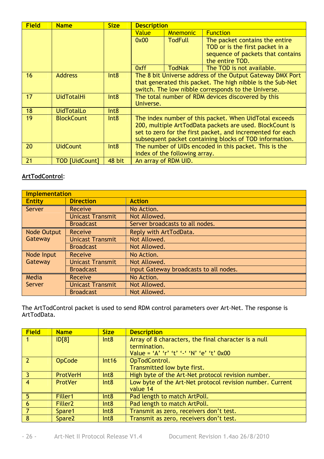| <b>Field</b> | <b>Name</b>           | <b>Size</b>      | <b>Description</b>                                 |                               |                                                            |
|--------------|-----------------------|------------------|----------------------------------------------------|-------------------------------|------------------------------------------------------------|
|              |                       |                  | Value                                              | <b>Mnemonic</b>               | <b>Function</b>                                            |
|              |                       |                  | 0x00                                               | <b>TodFull</b>                | The packet contains the entire                             |
|              |                       |                  |                                                    |                               | TOD or is the first packet in a                            |
|              |                       |                  |                                                    |                               | sequence of packets that contains                          |
|              |                       |                  |                                                    |                               | the entire TOD.                                            |
|              |                       |                  | 0xff                                               | <b>TodNak</b>                 | The TOD is not available.                                  |
| 16           | <b>Address</b>        | Int8             |                                                    |                               | The 8 bit Universe address of the Output Gateway DMX Port  |
|              |                       |                  |                                                    |                               | that generated this packet. The high nibble is the Sub-Net |
|              |                       |                  |                                                    |                               | switch. The low nibble corresponds to the Universe.        |
| 17           | <b>UidTotalHi</b>     | Int8             | The total number of RDM devices discovered by this |                               |                                                            |
|              |                       |                  | Universe.                                          |                               |                                                            |
| 18           | <b>UidTotalLo</b>     | Int <sub>8</sub> |                                                    |                               |                                                            |
| 19           | <b>BlockCount</b>     | Int8             |                                                    |                               | The index number of this packet. When UidTotal exceeds     |
|              |                       |                  |                                                    |                               | 200, multiple ArtTodData packets are used. BlockCount is   |
|              |                       |                  |                                                    |                               | set to zero for the first packet, and incremented for each |
|              |                       |                  |                                                    |                               | subsequent packet containing blocks of TOD information.    |
| 20           | <b>UidCount</b>       | Int8             |                                                    |                               | The number of UIDs encoded in this packet. This is the     |
|              |                       |                  |                                                    | index of the following array. |                                                            |
| 21           | <b>TOD [UidCount]</b> | 48 bit           |                                                    | An array of RDM UID.          |                                                            |

#### **ArtTodControl**:

|                               | Implementation          |                                        |  |  |  |
|-------------------------------|-------------------------|----------------------------------------|--|--|--|
| <b>Entity</b>                 | <b>Direction</b>        | <b>Action</b>                          |  |  |  |
| Server                        | Receive                 | No Action.                             |  |  |  |
|                               | <b>Unicast Transmit</b> | Not Allowed.                           |  |  |  |
|                               | <b>Broadcast</b>        | Server broadcasts to all nodes.        |  |  |  |
| <b>Node Output</b><br>Gateway | Receive                 | Reply with ArtTodData.                 |  |  |  |
|                               | <b>Unicast Transmit</b> | Not Allowed.                           |  |  |  |
|                               | <b>Broadcast</b>        | Not Allowed.                           |  |  |  |
| Node Input                    | Receive                 | No Action.                             |  |  |  |
| Gateway                       | <b>Unicast Transmit</b> | Not Allowed.                           |  |  |  |
|                               | <b>Broadcast</b>        | Input Gateway broadcasts to all nodes. |  |  |  |
| Media                         | Receive                 | No Action.                             |  |  |  |
| Server                        | <b>Unicast Transmit</b> | Not Allowed.                           |  |  |  |
|                               | <b>Broadcast</b>        | Not Allowed.                           |  |  |  |

The ArtTodControl packet is used to send RDM control parameters over Art-Net. The response is ArtTodData.

| <b>Field</b>   | <b>Name</b>         | <b>Size</b> | <b>Description</b>                                        |  |
|----------------|---------------------|-------------|-----------------------------------------------------------|--|
|                | ID[8]               | Int8        | Array of 8 characters, the final character is a null      |  |
|                |                     |             | termination.                                              |  |
|                |                     |             | Value = 'A' 'r' 't' '-' 'N' 'e' 't' 0x00                  |  |
|                | <b>OpCode</b>       | Int16       | OpTodControl.                                             |  |
|                |                     |             | Transmitted low byte first.                               |  |
| $\overline{3}$ | <b>ProtVerH</b>     | Int8        | High byte of the Art-Net protocol revision number.        |  |
| $\overline{4}$ | <b>ProtVer</b>      | Int8        | Low byte of the Art-Net protocol revision number. Current |  |
|                |                     |             | value 14                                                  |  |
| -5             | Filler1             | Int8        | Pad length to match ArtPoll.                              |  |
| 6              | Filler <sub>2</sub> | Int8        | Pad length to match ArtPoll.                              |  |
|                | Spare1              | Int8        | Transmit as zero, receivers don't test.                   |  |
| 8              | Spare <sub>2</sub>  | Int8        | Transmit as zero, receivers don't test.                   |  |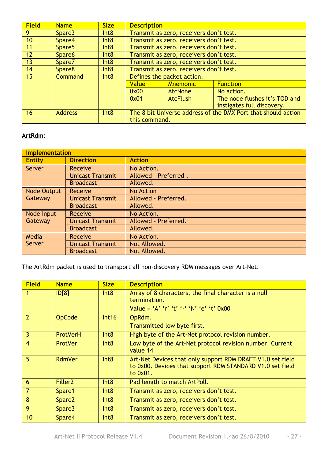| <b>Field</b> | <b>Name</b>        | <b>Size</b> | <b>Description</b>                                                             |                                         |                            |  |  |
|--------------|--------------------|-------------|--------------------------------------------------------------------------------|-----------------------------------------|----------------------------|--|--|
| 9            | Spare3             | Int8        |                                                                                | Transmit as zero, receivers don't test. |                            |  |  |
| 10           | Spare4             | Int8        |                                                                                | Transmit as zero, receivers don't test. |                            |  |  |
| 11           | Spare <sub>5</sub> | Int8        |                                                                                | Transmit as zero, receivers don't test. |                            |  |  |
| 12           | Spare <sub>6</sub> | Int8        |                                                                                | Transmit as zero, receivers don't test. |                            |  |  |
| 13           | Spare7             | Int8        |                                                                                | Transmit as zero, receivers don't test. |                            |  |  |
| 14           | Spare8             | Int8        | Transmit as zero, receivers don't test.                                        |                                         |                            |  |  |
| 15           | <b>Command</b>     | Int8        | Defines the packet action.                                                     |                                         |                            |  |  |
|              |                    |             | Value<br><b>Mnemonic</b><br><b>Function</b><br>0x00<br>AtcNone<br>No action.   |                                         |                            |  |  |
|              |                    |             |                                                                                |                                         |                            |  |  |
|              |                    |             | The node flushes it's TOD and<br><b>AtcFlush</b><br>0x01                       |                                         |                            |  |  |
|              |                    |             |                                                                                |                                         | instigates full discovery. |  |  |
| 16           | <b>Address</b>     | Int8        | The 8 bit Universe address of the DMX Port that should action<br>this command. |                                         |                            |  |  |

### **ArtRdm**:

|                    | <b>Implementation</b>   |                      |  |  |  |  |
|--------------------|-------------------------|----------------------|--|--|--|--|
| <b>Entity</b>      | <b>Direction</b>        | <b>Action</b>        |  |  |  |  |
| Server             | <b>Receive</b>          | No Action.           |  |  |  |  |
|                    | <b>Unicast Transmit</b> | Allowed - Preferred. |  |  |  |  |
|                    | <b>Broadcast</b>        | Allowed.             |  |  |  |  |
| <b>Node Output</b> | Receive                 | <b>No Action</b>     |  |  |  |  |
| Gateway            | <b>Unicast Transmit</b> | Allowed - Preferred. |  |  |  |  |
|                    | <b>Broadcast</b>        | Allowed.             |  |  |  |  |
| Node Input         | Receive                 | No Action.           |  |  |  |  |
| Gateway            | <b>Unicast Transmit</b> | Allowed - Preferred. |  |  |  |  |
|                    | <b>Broadcast</b>        | Allowed.             |  |  |  |  |
| Media              | Receive                 | No Action.           |  |  |  |  |
| Server             | <b>Unicast Transmit</b> | Not Allowed.         |  |  |  |  |
|                    | <b>Broadcast</b>        | Not Allowed.         |  |  |  |  |

The ArtRdm packet is used to transport all non-discovery RDM messages over Art-Net.

| <b>Field</b>            | <b>Name</b>         | <b>Size</b> | <b>Description</b>                                                                                                                  |  |
|-------------------------|---------------------|-------------|-------------------------------------------------------------------------------------------------------------------------------------|--|
| $\overline{1}$          | ID[8]               | Int8        | Array of 8 characters, the final character is a null<br>termination.<br>Value = 'A' 'r' 't' '-' 'N' 'e' 't' 0x00                    |  |
| $\overline{2}$          | <b>OpCode</b>       | Int16       | OpRdm.<br>Transmitted low byte first.                                                                                               |  |
| $\vert$ 3               | ProtVerH            | Int8        | High byte of the Art-Net protocol revision number.                                                                                  |  |
| $\overline{4}$          | <b>ProtVer</b>      | Int8        | Low byte of the Art-Net protocol revision number. Current<br>value 14                                                               |  |
| -5                      | RdmVer              | Int8        | Art-Net Devices that only support RDM DRAFT V1.0 set field<br>to 0x00. Devices that support RDM STANDARD V1.0 set field<br>to 0x01. |  |
| $6\overline{6}$         | Filler <sub>2</sub> | Int8        | Pad length to match ArtPoll.                                                                                                        |  |
| $\overline{7}$          | Spare1              | Int8        | Transmit as zero, receivers don't test.                                                                                             |  |
| $\overline{\mathbf{8}}$ | Spare <sub>2</sub>  | Int8        | Transmit as zero, receivers don't test.                                                                                             |  |
| 9                       | Spare3              | Int8        | Transmit as zero, receivers don't test.                                                                                             |  |
| 10                      | Spare4              | Int8        | Transmit as zero, receivers don't test.                                                                                             |  |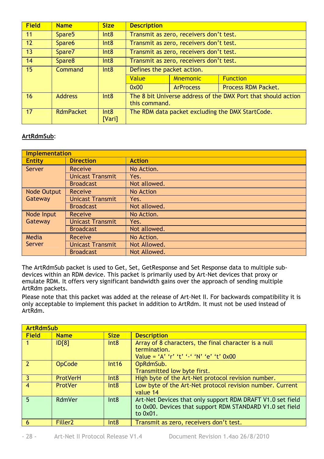| <b>Field</b> | <b>Name</b>        | <b>Size</b>    | <b>Description</b>                                                             |                                         |  |  |
|--------------|--------------------|----------------|--------------------------------------------------------------------------------|-----------------------------------------|--|--|
| 11           | Spare <sub>5</sub> | Int8           | Transmit as zero, receivers don't test.                                        |                                         |  |  |
| 12           | Spare <sub>6</sub> | Int8           | Transmit as zero, receivers don't test.                                        |                                         |  |  |
| 13           | Spare7             | Int8           |                                                                                | Transmit as zero, receivers don't test. |  |  |
| 14           | Spare <sub>8</sub> | Int8           | Transmit as zero, receivers don't test.                                        |                                         |  |  |
| 15           | Command            | Int8           | Defines the packet action.                                                     |                                         |  |  |
|              |                    |                | Value<br><b>Function</b><br><b>Mnemonic</b>                                    |                                         |  |  |
|              |                    |                | Process RDM Packet.<br>0x00<br><b>ArProcess</b>                                |                                         |  |  |
| 16           | <b>Address</b>     | Int8           | The 8 bit Universe address of the DMX Port that should action<br>this command. |                                         |  |  |
| 17           | <b>RdmPacket</b>   | Int8<br>[Vari] | The RDM data packet excluding the DMX StartCode.                               |                                         |  |  |

#### **ArtRdmSub**:

|               | <b>Implementation</b>   |                  |  |  |  |
|---------------|-------------------------|------------------|--|--|--|
| <b>Entity</b> | <b>Direction</b>        | <b>Action</b>    |  |  |  |
| Server        | Receive                 | No Action.       |  |  |  |
|               | <b>Unicast Transmit</b> | Yes.             |  |  |  |
|               | <b>Broadcast</b>        | Not allowed.     |  |  |  |
| Node Output   | Receive                 | <b>No Action</b> |  |  |  |
| Gateway       | <b>Unicast Transmit</b> | Yes.             |  |  |  |
|               | <b>Broadcast</b>        | Not allowed.     |  |  |  |
| Node Input    | Receive                 | No Action.       |  |  |  |
| Gateway       | <b>Unicast Transmit</b> | Yes.             |  |  |  |
|               | <b>Broadcast</b>        | Not allowed.     |  |  |  |
| Media         | Receive                 | No Action.       |  |  |  |
| Server        | <b>Unicast Transmit</b> | Not Allowed.     |  |  |  |
|               | <b>Broadcast</b>        | Not Allowed.     |  |  |  |

The ArtRdmSub packet is used to Get, Set, GetResponse and Set Response data to multiple subdevices within an RDM device. This packet is primarily used by Art-Net devices that proxy or emulate RDM. It offers very significant bandwidth gains over the approach of sending multiple ArtRdm packets.

Please note that this packet was added at the release of Art-Net II. For backwards compatibility it is only acceptable to implement this packet in addition to ArtRdm. It must not be used instead of ArtRdm.

|                 | <b>ArtRdmSub</b>    |             |                                                                                                                                        |  |  |
|-----------------|---------------------|-------------|----------------------------------------------------------------------------------------------------------------------------------------|--|--|
| <b>Field</b>    | <b>Name</b>         | <b>Size</b> | <b>Description</b>                                                                                                                     |  |  |
|                 | ID[8]               | Int8        | Array of 8 characters, the final character is a null<br>termination.<br>Value = 'A' 'r' 't' '-' 'N' 'e' 't' 0x00                       |  |  |
|                 | <b>OpCode</b>       | Int16       | OpRdmSub.<br>Transmitted low byte first.                                                                                               |  |  |
| 3               | <b>ProtVerH</b>     | Int8        | High byte of the Art-Net protocol revision number.                                                                                     |  |  |
| $\overline{4}$  | <b>ProtVer</b>      | Int8        | Low byte of the Art-Net protocol revision number. Current<br>value 14                                                                  |  |  |
| $5\overline{2}$ | RdmVer              | Int8        | Art-Net Devices that only support RDM DRAFT V1.0 set field<br>to 0x00. Devices that support RDM STANDARD V1.0 set field<br>to $0x01$ . |  |  |
| 6               | Filler <sub>2</sub> | Int8        | Transmit as zero, receivers don't test.                                                                                                |  |  |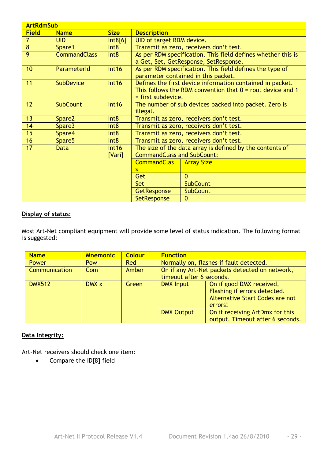|                | <b>ArtRdmSub</b>    |                  |                                                                                                                                                   |                                                                                                 |  |  |  |
|----------------|---------------------|------------------|---------------------------------------------------------------------------------------------------------------------------------------------------|-------------------------------------------------------------------------------------------------|--|--|--|
| <b>Field</b>   | <b>Name</b>         | <b>Size</b>      | <b>Description</b>                                                                                                                                |                                                                                                 |  |  |  |
| $\overline{7}$ | <b>UID</b>          | Int8[6]          | UID of target RDM device.                                                                                                                         |                                                                                                 |  |  |  |
| 8              | Spare1              | Int8             |                                                                                                                                                   | Transmit as zero, receivers don't test.                                                         |  |  |  |
| 9              | <b>CommandClass</b> | Int8             | As per RDM specification. This field defines whether this is<br>a Get, Set, GetResponse, SetResponse.                                             |                                                                                                 |  |  |  |
| 10             | ParameterId         | Int16            |                                                                                                                                                   | As per RDM specification. This field defines the type of<br>parameter contained in this packet. |  |  |  |
| 11             | <b>SubDevice</b>    | Int16            | Defines the first device information contained in packet.<br>This follows the RDM convention that $0 =$ root device and 1<br>$=$ first subdevice. |                                                                                                 |  |  |  |
| 12             | <b>SubCount</b>     | Int16            | The number of sub devices packed into packet. Zero is<br>illegal.                                                                                 |                                                                                                 |  |  |  |
| 13             | Spare2              | Int <sub>8</sub> | Transmit as zero, receivers don't test.                                                                                                           |                                                                                                 |  |  |  |
| 14             | Spare3              | Int <sub>8</sub> | Transmit as zero, receivers don't test.                                                                                                           |                                                                                                 |  |  |  |
| 15             | Spare4              | Int8             | Transmit as zero, receivers don't test.                                                                                                           |                                                                                                 |  |  |  |
| 16             | Spare <sub>5</sub>  | Int <sub>8</sub> | Transmit as zero, receivers don't test.                                                                                                           |                                                                                                 |  |  |  |
| 17             | <b>Data</b>         | Int16<br>[Vari]  | The size of the data array is defined by the contents of<br><b>CommandClass and SubCount:</b>                                                     |                                                                                                 |  |  |  |
|                |                     |                  | <b>CommandClas</b><br><b>Array Size</b>                                                                                                           |                                                                                                 |  |  |  |
|                |                     |                  | s                                                                                                                                                 |                                                                                                 |  |  |  |
|                |                     |                  | Get                                                                                                                                               | $\Omega$                                                                                        |  |  |  |
|                |                     |                  | <b>Set</b>                                                                                                                                        | <b>SubCount</b>                                                                                 |  |  |  |
|                |                     |                  | <b>SubCount</b><br><b>GetResponse</b>                                                                                                             |                                                                                                 |  |  |  |
|                |                     |                  | SetResponse<br>0                                                                                                                                  |                                                                                                 |  |  |  |

#### **Display of status:**

Most Art-Net compliant equipment will provide some level of status indication. The following format is suggested:

| <b>Name</b>   | <b>Mnemonic</b> | <b>Colour</b> | <b>Function</b>                                                            |                                                                                                        |  |
|---------------|-----------------|---------------|----------------------------------------------------------------------------|--------------------------------------------------------------------------------------------------------|--|
| <b>Power</b>  | Pow             | Red           | Normally on, flashes if fault detected.                                    |                                                                                                        |  |
| Communication | Com             | Amber         | On if any Art-Net packets detected on network,<br>timeout after 6 seconds. |                                                                                                        |  |
| <b>DMX512</b> | DMX x           | Green         | <b>DMX Input</b>                                                           | On if good DMX received,<br>Flashing if errors detected.<br>Alternative Start Codes are not<br>errors! |  |
|               |                 |               | <b>DMX Output</b>                                                          | On if receiving ArtDmx for this<br>output. Timeout after 6 seconds.                                    |  |

#### **Data Integrity:**

Art-Net receivers should check one item:

• Compare the ID[8] field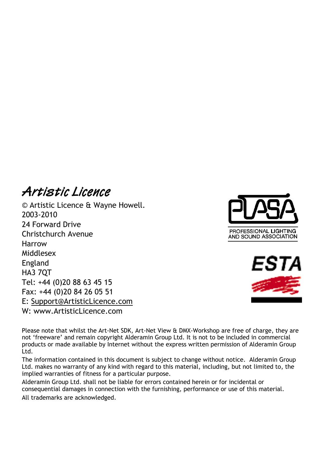## **Artistic Licence**

© Artistic Licence & Wayne Howell. 2003-2010 24 Forward Drive Christchurch Avenue Harrow Middlesex England HA3 7QT Tel: +44 (0)20 88 63 45 15 Fax: +44 (0)20 84 26 05 51 E: Support@ArtisticLicence.com W: www.ArtisticLicence.com





Please note that whilst the Art-Net SDK, Art-Net View & DMX-Workshop are free of charge, they are not 'freeware' and remain copyright Alderamin Group Ltd. It is not to be included in commercial products or made available by Internet without the express written permission of Alderamin Group Ltd.

The information contained in this document is subject to change without notice. Alderamin Group Ltd. makes no warranty of any kind with regard to this material, including, but not limited to, the implied warranties of fitness for a particular purpose.

Alderamin Group Ltd. shall not be liable for errors contained herein or for incidental or consequential damages in connection with the furnishing, performance or use of this material. All trademarks are acknowledged.